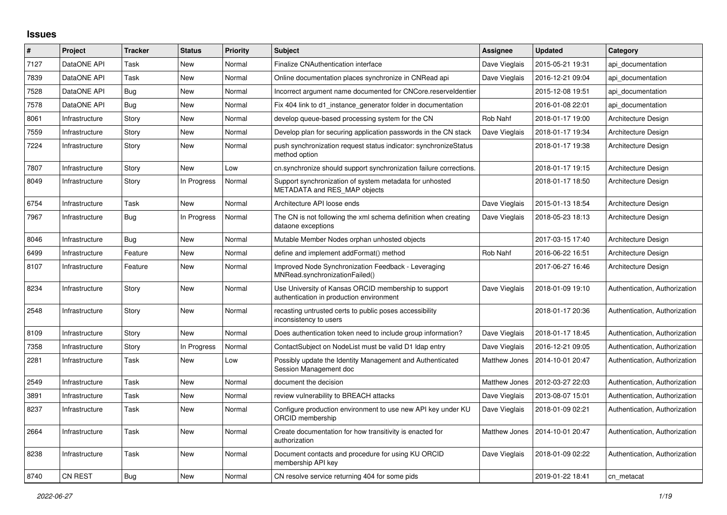## **Issues**

| #    | Project        | <b>Tracker</b> | <b>Status</b> | <b>Priority</b> | <b>Subject</b>                                                                                   | Assignee             | <b>Updated</b>   | Category                      |
|------|----------------|----------------|---------------|-----------------|--------------------------------------------------------------------------------------------------|----------------------|------------------|-------------------------------|
| 7127 | DataONE API    | Task           | New           | Normal          | Finalize CNAuthentication interface                                                              | Dave Vieglais        | 2015-05-21 19:31 | api documentation             |
| 7839 | DataONE API    | Task           | <b>New</b>    | Normal          | Online documentation places synchronize in CNRead api                                            | Dave Vieglais        | 2016-12-21 09:04 | api documentation             |
| 7528 | DataONE API    | Bug            | New           | Normal          | Incorrect argument name documented for CNCore.reserveldentier                                    |                      | 2015-12-08 19:51 | api documentation             |
| 7578 | DataONE API    | Bug            | <b>New</b>    | Normal          | Fix 404 link to d1_instance_generator folder in documentation                                    |                      | 2016-01-08 22:01 | api documentation             |
| 8061 | Infrastructure | Story          | <b>New</b>    | Normal          | develop queue-based processing system for the CN                                                 | <b>Rob Nahf</b>      | 2018-01-17 19:00 | Architecture Design           |
| 7559 | Infrastructure | Story          | New           | Normal          | Develop plan for securing application passwords in the CN stack                                  | Dave Vieglais        | 2018-01-17 19:34 | Architecture Design           |
| 7224 | Infrastructure | Story          | <b>New</b>    | Normal          | push synchronization request status indicator: synchronizeStatus<br>method option                |                      | 2018-01-17 19:38 | Architecture Design           |
| 7807 | Infrastructure | Story          | <b>New</b>    | Low             | cn.synchronize should support synchronization failure corrections.                               |                      | 2018-01-17 19:15 | Architecture Design           |
| 8049 | Infrastructure | Story          | In Progress   | Normal          | Support synchronization of system metadata for unhosted<br>METADATA and RES_MAP objects          |                      | 2018-01-17 18:50 | Architecture Design           |
| 6754 | Infrastructure | Task           | <b>New</b>    | Normal          | Architecture API loose ends                                                                      | Dave Vieglais        | 2015-01-13 18:54 | Architecture Design           |
| 7967 | Infrastructure | <b>Bug</b>     | In Progress   | Normal          | The CN is not following the xml schema definition when creating<br>dataone exceptions            | Dave Vieglais        | 2018-05-23 18:13 | Architecture Design           |
| 8046 | Infrastructure | <b>Bug</b>     | New           | Normal          | Mutable Member Nodes orphan unhosted objects                                                     |                      | 2017-03-15 17:40 | Architecture Design           |
| 6499 | Infrastructure | Feature        | <b>New</b>    | Normal          | define and implement addFormat() method                                                          | Rob Nahf             | 2016-06-22 16:51 | Architecture Design           |
| 8107 | Infrastructure | Feature        | New           | Normal          | Improved Node Synchronization Feedback - Leveraging<br>MNRead.synchronizationFailed()            |                      | 2017-06-27 16:46 | Architecture Design           |
| 8234 | Infrastructure | Story          | <b>New</b>    | Normal          | Use University of Kansas ORCID membership to support<br>authentication in production environment | Dave Vieglais        | 2018-01-09 19:10 | Authentication, Authorization |
| 2548 | Infrastructure | Story          | <b>New</b>    | Normal          | recasting untrusted certs to public poses accessibility<br>inconsistency to users                |                      | 2018-01-17 20:36 | Authentication, Authorization |
| 8109 | Infrastructure | Story          | New           | Normal          | Does authentication token need to include group information?                                     | Dave Vieglais        | 2018-01-17 18:45 | Authentication, Authorization |
| 7358 | Infrastructure | Story          | In Progress   | Normal          | ContactSubject on NodeList must be valid D1 Idap entry                                           | Dave Vieglais        | 2016-12-21 09:05 | Authentication, Authorization |
| 2281 | Infrastructure | Task           | New           | Low             | Possibly update the Identity Management and Authenticated<br>Session Management doc              | <b>Matthew Jones</b> | 2014-10-01 20:47 | Authentication, Authorization |
| 2549 | Infrastructure | Task           | <b>New</b>    | Normal          | document the decision                                                                            | Matthew Jones        | 2012-03-27 22:03 | Authentication, Authorization |
| 3891 | Infrastructure | Task           | New           | Normal          | review vulnerability to BREACH attacks                                                           | Dave Vieglais        | 2013-08-07 15:01 | Authentication, Authorization |
| 8237 | Infrastructure | Task           | New           | Normal          | Configure production environment to use new API key under KU<br>ORCID membership                 | Dave Vieglais        | 2018-01-09 02:21 | Authentication, Authorization |
| 2664 | Infrastructure | Task           | <b>New</b>    | Normal          | Create documentation for how transitivity is enacted for<br>authorization                        | Matthew Jones        | 2014-10-01 20:47 | Authentication, Authorization |
| 8238 | Infrastructure | Task           | <b>New</b>    | Normal          | Document contacts and procedure for using KU ORCID<br>membership API key                         | Dave Vieglais        | 2018-01-09 02:22 | Authentication, Authorization |
| 8740 | <b>CN REST</b> | Bug            | <b>New</b>    | Normal          | CN resolve service returning 404 for some pids                                                   |                      | 2019-01-22 18:41 | cn metacat                    |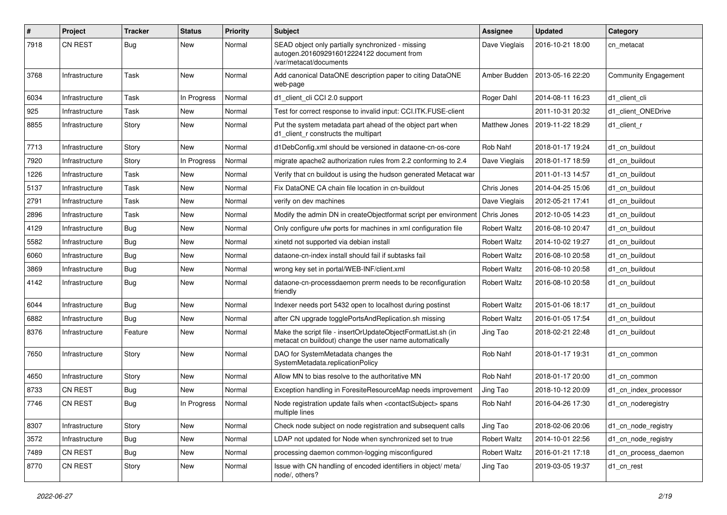| $\#$ | Project        | Tracker    | <b>Status</b> | <b>Priority</b> | Subject                                                                                                                  | <b>Assignee</b>     | <b>Updated</b>   | Category                    |
|------|----------------|------------|---------------|-----------------|--------------------------------------------------------------------------------------------------------------------------|---------------------|------------------|-----------------------------|
| 7918 | <b>CN REST</b> | Bug        | New           | Normal          | SEAD object only partially synchronized - missing<br>autogen.2016092916012224122 document from<br>/var/metacat/documents | Dave Vieglais       | 2016-10-21 18:00 | cn metacat                  |
| 3768 | Infrastructure | Task       | New           | Normal          | Add canonical DataONE description paper to citing DataONE<br>web-page                                                    | Amber Budden        | 2013-05-16 22:20 | <b>Community Engagement</b> |
| 6034 | Infrastructure | Task       | In Progress   | Normal          | d1 client cli CCI 2.0 support                                                                                            | Roger Dahl          | 2014-08-11 16:23 | d1 client cli               |
| 925  | Infrastructure | Task       | New           | Normal          | Test for correct response to invalid input: CCI.ITK.FUSE-client                                                          |                     | 2011-10-31 20:32 | d1 client ONEDrive          |
| 8855 | Infrastructure | Story      | New           | Normal          | Put the system metadata part ahead of the object part when<br>d1 client r constructs the multipart                       | Matthew Jones       | 2019-11-22 18:29 | d1_client_r                 |
| 7713 | Infrastructure | Story      | New           | Normal          | d1DebConfig.xml should be versioned in dataone-cn-os-core                                                                | Rob Nahf            | 2018-01-17 19:24 | d1 cn buildout              |
| 7920 | Infrastructure | Story      | In Progress   | Normal          | migrate apache2 authorization rules from 2.2 conforming to 2.4                                                           | Dave Vieglais       | 2018-01-17 18:59 | d1 cn buildout              |
| 1226 | Infrastructure | Task       | New           | Normal          | Verify that cn buildout is using the hudson generated Metacat war                                                        |                     | 2011-01-13 14:57 | d1 cn buildout              |
| 5137 | Infrastructure | Task       | New           | Normal          | Fix DataONE CA chain file location in cn-buildout                                                                        | Chris Jones         | 2014-04-25 15:06 | d1 cn buildout              |
| 2791 | Infrastructure | Task       | New           | Normal          | verify on dev machines                                                                                                   | Dave Vieglais       | 2012-05-21 17:41 | d1 cn buildout              |
| 2896 | Infrastructure | Task       | New           | Normal          | Modify the admin DN in createObjectformat script per environment                                                         | Chris Jones         | 2012-10-05 14:23 | d1 cn buildout              |
| 4129 | Infrastructure | Bug        | New           | Normal          | Only configure ufw ports for machines in xml configuration file                                                          | <b>Robert Waltz</b> | 2016-08-10 20:47 | d1 cn buildout              |
| 5582 | Infrastructure | Bug        | New           | Normal          | xinetd not supported via debian install                                                                                  | <b>Robert Waltz</b> | 2014-10-02 19:27 | d1 cn buildout              |
| 6060 | Infrastructure | <b>Bug</b> | New           | Normal          | dataone-cn-index install should fail if subtasks fail                                                                    | <b>Robert Waltz</b> | 2016-08-10 20:58 | d1 cn buildout              |
| 3869 | Infrastructure | Bug        | New           | Normal          | wrong key set in portal/WEB-INF/client.xml                                                                               | <b>Robert Waltz</b> | 2016-08-10 20:58 | d1 cn buildout              |
| 4142 | Infrastructure | Bug        | New           | Normal          | dataone-cn-processdaemon prerm needs to be reconfiguration<br>friendly                                                   | <b>Robert Waltz</b> | 2016-08-10 20:58 | d1 cn buildout              |
| 6044 | Infrastructure | Bug        | <b>New</b>    | Normal          | Indexer needs port 5432 open to localhost during postinst                                                                | <b>Robert Waltz</b> | 2015-01-06 18:17 | d1 cn buildout              |
| 6882 | Infrastructure | Bug        | New           | Normal          | after CN upgrade togglePortsAndReplication.sh missing                                                                    | <b>Robert Waltz</b> | 2016-01-05 17:54 | d1 cn buildout              |
| 8376 | Infrastructure | Feature    | New           | Normal          | Make the script file - insertOrUpdateObjectFormatList.sh (in<br>metacat cn buildout) change the user name automatically  | Jing Tao            | 2018-02-21 22:48 | d1 cn buildout              |
| 7650 | Infrastructure | Story      | <b>New</b>    | Normal          | DAO for SystemMetadata changes the<br>SystemMetadata.replicationPolicy                                                   | Rob Nahf            | 2018-01-17 19:31 | d1 cn common                |
| 4650 | Infrastructure | Story      | New           | Normal          | Allow MN to bias resolve to the authoritative MN                                                                         | Rob Nahf            | 2018-01-17 20:00 | d1 cn common                |
| 8733 | <b>CN REST</b> | Bug        | New           | Normal          | Exception handling in ForesiteResourceMap needs improvement                                                              | Jing Tao            | 2018-10-12 20:09 | d1_cn_index_processor       |
| 7746 | <b>CN REST</b> | Bug        | In Progress   | Normal          | Node registration update fails when <contactsubject> spans<br/>multiple lines</contactsubject>                           | Rob Nahf            | 2016-04-26 17:30 | d1 cn noderegistry          |
| 8307 | Infrastructure | Story      | New           | Normal          | Check node subject on node registration and subsequent calls                                                             | Jing Tao            | 2018-02-06 20:06 | d1 cn node registry         |
| 3572 | Infrastructure | <b>Bug</b> | New           | Normal          | LDAP not updated for Node when synchronized set to true                                                                  | <b>Robert Waltz</b> | 2014-10-01 22:56 | d1_cn_node_registry         |
| 7489 | CN REST        | <b>Bug</b> | New           | Normal          | processing daemon common-logging misconfigured                                                                           | <b>Robert Waltz</b> | 2016-01-21 17:18 | d1_cn_process_daemon        |
| 8770 | CN REST        | Story      | New           | Normal          | Issue with CN handling of encoded identifiers in object/ meta/<br>node/, others?                                         | Jing Tao            | 2019-03-05 19:37 | d1_cn_rest                  |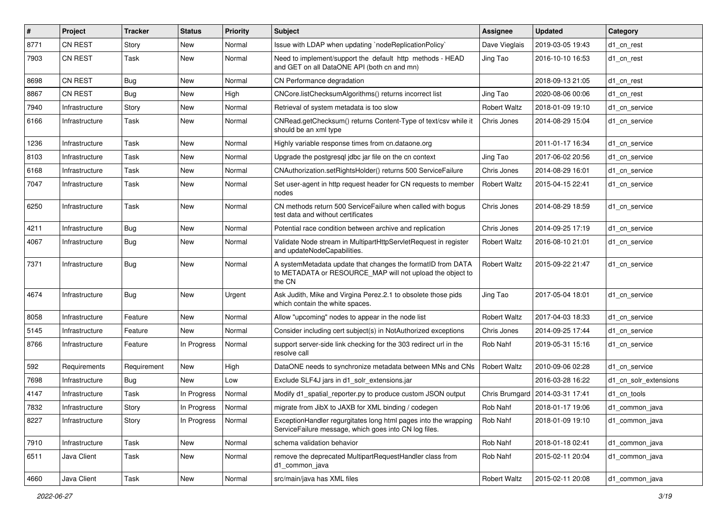| #    | Project        | Tracker     | <b>Status</b> | <b>Priority</b> | Subject                                                                                                                            | Assignee            | <b>Updated</b>                    | Category              |
|------|----------------|-------------|---------------|-----------------|------------------------------------------------------------------------------------------------------------------------------------|---------------------|-----------------------------------|-----------------------|
| 8771 | <b>CN REST</b> | Story       | New           | Normal          | Issue with LDAP when updating `nodeReplicationPolicy`                                                                              | Dave Vieglais       | 2019-03-05 19:43                  | d1_cn_rest            |
| 7903 | <b>CN REST</b> | Task        | New           | Normal          | Need to implement/support the default http methods - HEAD<br>and GET on all DataONE API (both cn and mn)                           | Jing Tao            | 2016-10-10 16:53                  | d1_cn_rest            |
| 8698 | <b>CN REST</b> | <b>Bug</b>  | New           | Normal          | CN Performance degradation                                                                                                         |                     | 2018-09-13 21:05                  | d1 cn rest            |
| 8867 | <b>CN REST</b> | Bug         | <b>New</b>    | High            | CNCore.listChecksumAlgorithms() returns incorrect list                                                                             | Jing Tao            | 2020-08-06 00:06                  | d1 cn rest            |
| 7940 | Infrastructure | Story       | New           | Normal          | Retrieval of system metadata is too slow                                                                                           | <b>Robert Waltz</b> | 2018-01-09 19:10                  | d1 cn service         |
| 6166 | Infrastructure | Task        | New           | Normal          | CNRead.getChecksum() returns Content-Type of text/csv while it<br>should be an xml type                                            | Chris Jones         | 2014-08-29 15:04                  | d1 cn service         |
| 1236 | Infrastructure | Task        | New           | Normal          | Highly variable response times from cn.dataone.org                                                                                 |                     | 2011-01-17 16:34                  | d1 cn service         |
| 8103 | Infrastructure | Task        | New           | Normal          | Upgrade the postgresql jdbc jar file on the cn context                                                                             | Jing Tao            | 2017-06-02 20:56                  | d1 cn service         |
| 6168 | Infrastructure | Task        | New           | Normal          | CNAuthorization.setRightsHolder() returns 500 ServiceFailure                                                                       | Chris Jones         | 2014-08-29 16:01                  | d1 cn service         |
| 7047 | Infrastructure | Task        | New           | Normal          | Set user-agent in http request header for CN requests to member<br>nodes                                                           | <b>Robert Waltz</b> | 2015-04-15 22:41                  | d1 cn service         |
| 6250 | Infrastructure | Task        | New           | Normal          | CN methods return 500 Service Failure when called with bogus<br>test data and without certificates                                 | Chris Jones         | 2014-08-29 18:59                  | d1_cn_service         |
| 4211 | Infrastructure | Bug         | New           | Normal          | Potential race condition between archive and replication                                                                           | Chris Jones         | 2014-09-25 17:19                  | d1 cn service         |
| 4067 | Infrastructure | Bug         | New           | Normal          | Validate Node stream in MultipartHttpServletRequest in register<br>and updateNodeCapabilities.                                     | <b>Robert Waltz</b> | 2016-08-10 21:01                  | d1_cn_service         |
| 7371 | Infrastructure | Bug         | New           | Normal          | A systemMetadata update that changes the formatID from DATA<br>to METADATA or RESOURCE MAP will not upload the object to<br>the CN | <b>Robert Waltz</b> | 2015-09-22 21:47                  | d1 cn service         |
| 4674 | Infrastructure | Bug         | New           | Urgent          | Ask Judith, Mike and Virgina Perez.2.1 to obsolete those pids<br>which contain the white spaces.                                   | Jing Tao            | 2017-05-04 18:01                  | d1 cn service         |
| 8058 | Infrastructure | Feature     | <b>New</b>    | Normal          | Allow "upcoming" nodes to appear in the node list                                                                                  | <b>Robert Waltz</b> | 2017-04-03 18:33                  | d1 cn service         |
| 5145 | Infrastructure | Feature     | New           | Normal          | Consider including cert subject(s) in NotAuthorized exceptions                                                                     | Chris Jones         | 2014-09-25 17:44                  | d1 cn service         |
| 8766 | Infrastructure | Feature     | In Progress   | Normal          | support server-side link checking for the 303 redirect url in the<br>resolve call                                                  | Rob Nahf            | 2019-05-31 15:16                  | d1 cn service         |
| 592  | Requirements   | Requirement | <b>New</b>    | High            | DataONE needs to synchronize metadata between MNs and CNs                                                                          | <b>Robert Waltz</b> | 2010-09-06 02:28                  | d1 cn service         |
| 7698 | Infrastructure | <b>Bug</b>  | New           | Low             | Exclude SLF4J jars in d1 solr extensions.jar                                                                                       |                     | 2016-03-28 16:22                  | d1_cn_solr_extensions |
| 4147 | Infrastructure | Task        | In Progress   | Normal          | Modify d1 spatial reporter.py to produce custom JSON output                                                                        |                     | Chris Brumgard   2014-03-31 17:41 | d1_cn_tools           |
| 7832 | Infrastructure | Story       | In Progress   | Normal          | migrate from JibX to JAXB for XML binding / codegen                                                                                | Rob Nahf            | 2018-01-17 19:06                  | d1 common java        |
| 8227 | Infrastructure | Story       | In Progress   | Normal          | ExceptionHandler regurgitates long html pages into the wrapping<br>ServiceFailure message, which goes into CN log files.           | Rob Nahf            | 2018-01-09 19:10                  | d1_common_java        |
| 7910 | Infrastructure | Task        | New           | Normal          | schema validation behavior                                                                                                         | Rob Nahf            | 2018-01-18 02:41                  | d1_common_java        |
| 6511 | Java Client    | Task        | New           | Normal          | remove the deprecated MultipartRequestHandler class from<br>d1_common_java                                                         | Rob Nahf            | 2015-02-11 20:04                  | d1 common java        |
| 4660 | Java Client    | Task        | New           | Normal          | src/main/java has XML files                                                                                                        | <b>Robert Waltz</b> | 2015-02-11 20:08                  | d1_common_java        |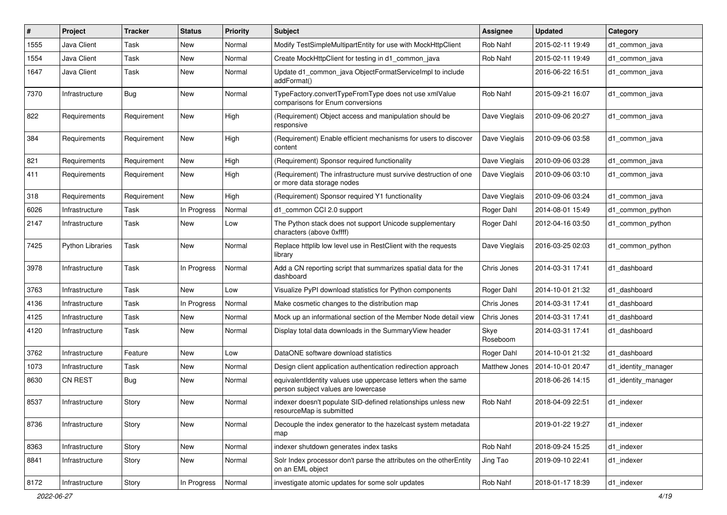| #    | Project                 | <b>Tracker</b> | <b>Status</b> | <b>Priority</b> | Subject                                                                                              | <b>Assignee</b>  | <b>Updated</b>   | Category            |
|------|-------------------------|----------------|---------------|-----------------|------------------------------------------------------------------------------------------------------|------------------|------------------|---------------------|
| 1555 | Java Client             | Task           | New           | Normal          | Modify TestSimpleMultipartEntity for use with MockHttpClient                                         | Rob Nahf         | 2015-02-11 19:49 | d1_common_java      |
| 1554 | Java Client             | Task           | New           | Normal          | Create MockHttpClient for testing in d1_common_java                                                  | Rob Nahf         | 2015-02-11 19:49 | d1 common java      |
| 1647 | Java Client             | Task           | New           | Normal          | Update d1_common_java ObjectFormatServiceImpl to include<br>addFormat()                              |                  | 2016-06-22 16:51 | d1 common java      |
| 7370 | Infrastructure          | Bug            | <b>New</b>    | Normal          | TypeFactory.convertTypeFromType does not use xmlValue<br>comparisons for Enum conversions            | Rob Nahf         | 2015-09-21 16:07 | d1 common java      |
| 822  | Requirements            | Requirement    | New           | High            | (Requirement) Object access and manipulation should be<br>responsive                                 | Dave Vieglais    | 2010-09-06 20:27 | d1 common java      |
| 384  | Requirements            | Requirement    | New           | High            | (Requirement) Enable efficient mechanisms for users to discover<br>content                           | Dave Vieglais    | 2010-09-06 03:58 | d1_common_java      |
| 821  | Requirements            | Requirement    | New           | High            | (Requirement) Sponsor required functionality                                                         | Dave Vieglais    | 2010-09-06 03:28 | d1 common java      |
| 411  | Requirements            | Requirement    | New           | High            | (Requirement) The infrastructure must survive destruction of one<br>or more data storage nodes       | Dave Vieglais    | 2010-09-06 03:10 | d1 common java      |
| 318  | Requirements            | Requirement    | New           | High            | (Requirement) Sponsor required Y1 functionality                                                      | Dave Vieglais    | 2010-09-06 03:24 | d1_common_java      |
| 6026 | Infrastructure          | Task           | In Progress   | Normal          | d1_common CCI 2.0 support                                                                            | Roger Dahl       | 2014-08-01 15:49 | d1_common_python    |
| 2147 | Infrastructure          | Task           | New           | Low             | The Python stack does not support Unicode supplementary<br>characters (above 0xffff)                 | Roger Dahl       | 2012-04-16 03:50 | d1 common python    |
| 7425 | <b>Python Libraries</b> | Task           | New           | Normal          | Replace httplib low level use in RestClient with the requests<br>library                             | Dave Vieglais    | 2016-03-25 02:03 | d1_common_python    |
| 3978 | Infrastructure          | Task           | In Progress   | Normal          | Add a CN reporting script that summarizes spatial data for the<br>dashboard                          | Chris Jones      | 2014-03-31 17:41 | d1_dashboard        |
| 3763 | Infrastructure          | Task           | New           | Low             | Visualize PyPI download statistics for Python components                                             | Roger Dahl       | 2014-10-01 21:32 | d1 dashboard        |
| 4136 | Infrastructure          | Task           | In Progress   | Normal          | Make cosmetic changes to the distribution map                                                        | Chris Jones      | 2014-03-31 17:41 | d1 dashboard        |
| 4125 | Infrastructure          | Task           | New           | Normal          | Mock up an informational section of the Member Node detail view                                      | Chris Jones      | 2014-03-31 17:41 | d1 dashboard        |
| 4120 | Infrastructure          | Task           | New           | Normal          | Display total data downloads in the Summary View header                                              | Skye<br>Roseboom | 2014-03-31 17:41 | d1 dashboard        |
| 3762 | Infrastructure          | Feature        | New           | Low             | DataONE software download statistics                                                                 | Roger Dahl       | 2014-10-01 21:32 | d1_dashboard        |
| 1073 | Infrastructure          | Task           | New           | Normal          | Design client application authentication redirection approach                                        | Matthew Jones    | 2014-10-01 20:47 | d1_identity_manager |
| 8630 | <b>CN REST</b>          | Bug            | New           | Normal          | equivalentIdentity values use uppercase letters when the same<br>person subject values are lowercase |                  | 2018-06-26 14:15 | d1_identity_manager |
| 8537 | Infrastructure          | Story          | New           | Normal          | indexer doesn't populate SID-defined relationships unless new<br>resourceMap is submitted            | Rob Nahf         | 2018-04-09 22:51 | d1_indexer          |
| 8736 | Infrastructure          | Story          | New           | Normal          | Decouple the index generator to the hazelcast system metadata<br>map                                 |                  | 2019-01-22 19:27 | d1 indexer          |
| 8363 | Infrastructure          | Story          | New           | Normal          | indexer shutdown generates index tasks                                                               | Rob Nahf         | 2018-09-24 15:25 | d1 indexer          |
| 8841 | Infrastructure          | Story          | New           | Normal          | Solr Index processor don't parse the attributes on the otherEntity<br>on an EML object               | Jing Tao         | 2019-09-10 22:41 | d1 indexer          |
| 8172 | Infrastructure          | Story          | In Progress   | Normal          | investigate atomic updates for some solr updates                                                     | Rob Nahf         | 2018-01-17 18:39 | d1_indexer          |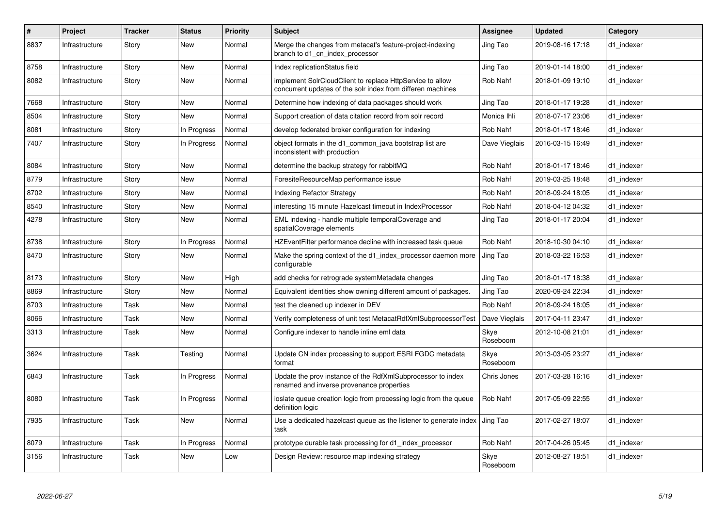| #    | Project        | <b>Tracker</b> | <b>Status</b> | <b>Priority</b> | <b>Subject</b>                                                                                                           | Assignee         | <b>Updated</b>   | Category   |
|------|----------------|----------------|---------------|-----------------|--------------------------------------------------------------------------------------------------------------------------|------------------|------------------|------------|
| 8837 | Infrastructure | Story          | New           | Normal          | Merge the changes from metacat's feature-project-indexing<br>branch to d1 cn index processor                             | Jing Tao         | 2019-08-16 17:18 | d1 indexer |
| 8758 | Infrastructure | Story          | New           | Normal          | Index replicationStatus field                                                                                            | Jing Tao         | 2019-01-14 18:00 | d1 indexer |
| 8082 | Infrastructure | Story          | New           | Normal          | implement SolrCloudClient to replace HttpService to allow<br>concurrent updates of the solr index from differen machines | Rob Nahf         | 2018-01-09 19:10 | d1 indexer |
| 7668 | Infrastructure | Story          | New           | Normal          | Determine how indexing of data packages should work                                                                      | Jing Tao         | 2018-01-17 19:28 | d1 indexer |
| 8504 | Infrastructure | Story          | New           | Normal          | Support creation of data citation record from solr record                                                                | Monica Ihli      | 2018-07-17 23:06 | d1 indexer |
| 8081 | Infrastructure | Story          | In Progress   | Normal          | develop federated broker configuration for indexing                                                                      | Rob Nahf         | 2018-01-17 18:46 | d1 indexer |
| 7407 | Infrastructure | Story          | In Progress   | Normal          | object formats in the d1_common_java bootstrap list are<br>inconsistent with production                                  | Dave Vieglais    | 2016-03-15 16:49 | d1 indexer |
| 8084 | Infrastructure | Story          | New           | Normal          | determine the backup strategy for rabbitMQ                                                                               | Rob Nahf         | 2018-01-17 18:46 | d1_indexer |
| 8779 | Infrastructure | Story          | New           | Normal          | ForesiteResourceMap performance issue                                                                                    | Rob Nahf         | 2019-03-25 18:48 | d1 indexer |
| 8702 | Infrastructure | Story          | New           | Normal          | <b>Indexing Refactor Strategy</b>                                                                                        | Rob Nahf         | 2018-09-24 18:05 | d1 indexer |
| 8540 | Infrastructure | Story          | New           | Normal          | interesting 15 minute Hazelcast timeout in IndexProcessor                                                                | Rob Nahf         | 2018-04-12 04:32 | d1 indexer |
| 4278 | Infrastructure | Story          | New           | Normal          | EML indexing - handle multiple temporalCoverage and<br>spatialCoverage elements                                          | Jing Tao         | 2018-01-17 20:04 | d1 indexer |
| 8738 | Infrastructure | Story          | In Progress   | Normal          | HZEventFilter performance decline with increased task queue                                                              | Rob Nahf         | 2018-10-30 04:10 | d1 indexer |
| 8470 | Infrastructure | Story          | New           | Normal          | Make the spring context of the d1 index processor daemon more<br>configurable                                            | Jing Tao         | 2018-03-22 16:53 | d1 indexer |
| 8173 | Infrastructure | Story          | New           | High            | add checks for retrograde systemMetadata changes                                                                         | Jing Tao         | 2018-01-17 18:38 | d1 indexer |
| 8869 | Infrastructure | Story          | New           | Normal          | Equivalent identities show owning different amount of packages.                                                          | Jing Tao         | 2020-09-24 22:34 | d1 indexer |
| 8703 | Infrastructure | Task           | New           | Normal          | test the cleaned up indexer in DEV                                                                                       | Rob Nahf         | 2018-09-24 18:05 | d1 indexer |
| 8066 | Infrastructure | Task           | New           | Normal          | Verify completeness of unit test MetacatRdfXmlSubprocessorTest                                                           | Dave Vieglais    | 2017-04-11 23:47 | d1 indexer |
| 3313 | Infrastructure | Task           | New           | Normal          | Configure indexer to handle inline eml data                                                                              | Skye<br>Roseboom | 2012-10-08 21:01 | d1 indexer |
| 3624 | Infrastructure | Task           | Testing       | Normal          | Update CN index processing to support ESRI FGDC metadata<br>format                                                       | Skye<br>Roseboom | 2013-03-05 23:27 | d1_indexer |
| 6843 | Infrastructure | Task           | In Progress   | Normal          | Update the prov instance of the RdfXmlSubprocessor to index<br>renamed and inverse provenance properties                 | Chris Jones      | 2017-03-28 16:16 | d1 indexer |
| 8080 | Infrastructure | Task           | In Progress   | Normal          | ioslate queue creation logic from processing logic from the queue<br>definition logic                                    | Rob Nahf         | 2017-05-09 22:55 | d1_indexer |
| 7935 | Infrastructure | Task           | New           | Normal          | Use a dedicated hazelcast queue as the listener to generate index<br>task                                                | Jing Tao         | 2017-02-27 18:07 | d1 indexer |
| 8079 | Infrastructure | Task           | In Progress   | Normal          | prototype durable task processing for d1 index processor                                                                 | Rob Nahf         | 2017-04-26 05:45 | d1 indexer |
| 3156 | Infrastructure | Task           | <b>New</b>    | Low             | Design Review: resource map indexing strategy                                                                            | Skye<br>Roseboom | 2012-08-27 18:51 | d1 indexer |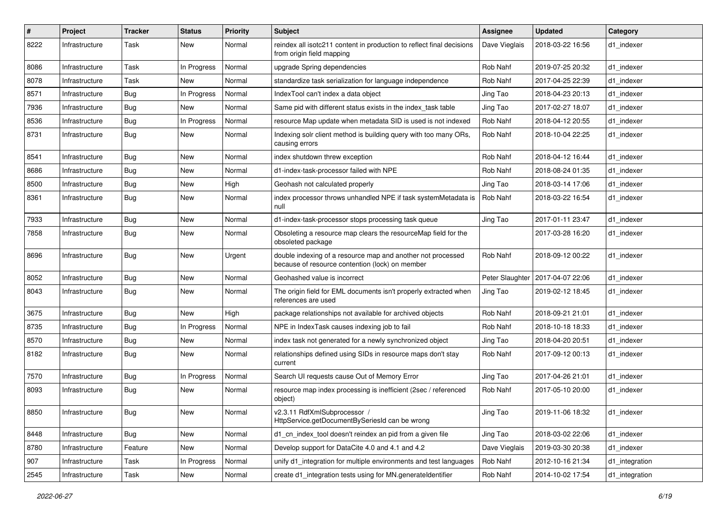| $\#$ | Project        | <b>Tracker</b> | <b>Status</b> | <b>Priority</b> | Subject                                                                                                        | <b>Assignee</b> | <b>Updated</b>                     | Category       |
|------|----------------|----------------|---------------|-----------------|----------------------------------------------------------------------------------------------------------------|-----------------|------------------------------------|----------------|
| 8222 | Infrastructure | Task           | New           | Normal          | reindex all isotc211 content in production to reflect final decisions<br>from origin field mapping             | Dave Vieglais   | 2018-03-22 16:56                   | d1 indexer     |
| 8086 | Infrastructure | Task           | In Progress   | Normal          | upgrade Spring dependencies                                                                                    | Rob Nahf        | 2019-07-25 20:32                   | d1 indexer     |
| 8078 | Infrastructure | Task           | New           | Normal          | standardize task serialization for language independence                                                       | Rob Nahf        | 2017-04-25 22:39                   | d1 indexer     |
| 8571 | Infrastructure | Bug            | In Progress   | Normal          | IndexTool can't index a data object                                                                            | Jing Tao        | 2018-04-23 20:13                   | d1 indexer     |
| 7936 | Infrastructure | Bug            | New           | Normal          | Same pid with different status exists in the index_task table                                                  | Jing Tao        | 2017-02-27 18:07                   | d1 indexer     |
| 8536 | Infrastructure | Bug            | In Progress   | Normal          | resource Map update when metadata SID is used is not indexed                                                   | Rob Nahf        | 2018-04-12 20:55                   | d1 indexer     |
| 8731 | Infrastructure | <b>Bug</b>     | New           | Normal          | Indexing solr client method is building query with too many ORs,<br>causing errors                             | Rob Nahf        | 2018-10-04 22:25                   | d1 indexer     |
| 8541 | Infrastructure | Bug            | New           | Normal          | index shutdown threw exception                                                                                 | Rob Nahf        | 2018-04-12 16:44                   | d1 indexer     |
| 8686 | Infrastructure | Bug            | New           | Normal          | d1-index-task-processor failed with NPE                                                                        | Rob Nahf        | 2018-08-24 01:35                   | d1 indexer     |
| 8500 | Infrastructure | Bug            | New           | High            | Geohash not calculated properly                                                                                | Jing Tao        | 2018-03-14 17:06                   | d1 indexer     |
| 8361 | Infrastructure | Bug            | New           | Normal          | index processor throws unhandled NPE if task systemMetadata is<br>null                                         | Rob Nahf        | 2018-03-22 16:54                   | d1 indexer     |
| 7933 | Infrastructure | Bug            | New           | Normal          | d1-index-task-processor stops processing task queue                                                            | Jing Tao        | 2017-01-11 23:47                   | d1 indexer     |
| 7858 | Infrastructure | Bug            | New           | Normal          | Obsoleting a resource map clears the resourceMap field for the<br>obsoleted package                            |                 | 2017-03-28 16:20                   | d1 indexer     |
| 8696 | Infrastructure | <b>Bug</b>     | New           | Urgent          | double indexing of a resource map and another not processed<br>because of resource contention (lock) on member | Rob Nahf        | 2018-09-12 00:22                   | d1 indexer     |
| 8052 | Infrastructure | <b>Bug</b>     | <b>New</b>    | Normal          | Geohashed value is incorrect                                                                                   |                 | Peter Slaughter   2017-04-07 22:06 | d1_indexer     |
| 8043 | Infrastructure | <b>Bug</b>     | <b>New</b>    | Normal          | The origin field for EML documents isn't properly extracted when<br>references are used                        | Jing Tao        | 2019-02-12 18:45                   | d1 indexer     |
| 3675 | Infrastructure | <b>Bug</b>     | <b>New</b>    | High            | package relationships not available for archived objects                                                       | Rob Nahf        | 2018-09-21 21:01                   | d1 indexer     |
| 8735 | Infrastructure | Bug            | In Progress   | Normal          | NPE in IndexTask causes indexing job to fail                                                                   | Rob Nahf        | 2018-10-18 18:33                   | d1_indexer     |
| 8570 | Infrastructure | Bug            | New           | Normal          | index task not generated for a newly synchronized object                                                       | Jing Tao        | 2018-04-20 20:51                   | d1 indexer     |
| 8182 | Infrastructure | Bug            | New           | Normal          | relationships defined using SIDs in resource maps don't stay<br>current                                        | Rob Nahf        | 2017-09-12 00:13                   | d1 indexer     |
| 7570 | Infrastructure | Bug            | In Progress   | Normal          | Search UI requests cause Out of Memory Error                                                                   | Jing Tao        | 2017-04-26 21:01                   | d1 indexer     |
| 8093 | Infrastructure | <b>Bug</b>     | New           | Normal          | resource map index processing is inefficient (2sec / referenced<br>object)                                     | Rob Nahf        | 2017-05-10 20:00                   | d1 indexer     |
| 8850 | Infrastructure | Bug            | New           | Normal          | v2.3.11 RdfXmlSubprocessor /<br>HttpService.getDocumentBySeriesId can be wrong                                 | Jing Tao        | 2019-11-06 18:32                   | d1_indexer     |
| 8448 | Infrastructure | Bug            | New           | Normal          | d1_cn_index_tool doesn't reindex an pid from a given file                                                      | Jing Tao        | 2018-03-02 22:06                   | d1_indexer     |
| 8780 | Infrastructure | Feature        | New           | Normal          | Develop support for DataCite 4.0 and 4.1 and 4.2                                                               | Dave Vieglais   | 2019-03-30 20:38                   | d1 indexer     |
| 907  | Infrastructure | Task           | In Progress   | Normal          | unify d1_integration for multiple environments and test languages                                              | Rob Nahf        | 2012-10-16 21:34                   | d1_integration |
| 2545 | Infrastructure | Task           | New           | Normal          | create d1_integration tests using for MN.generateIdentifier                                                    | Rob Nahf        | 2014-10-02 17:54                   | d1_integration |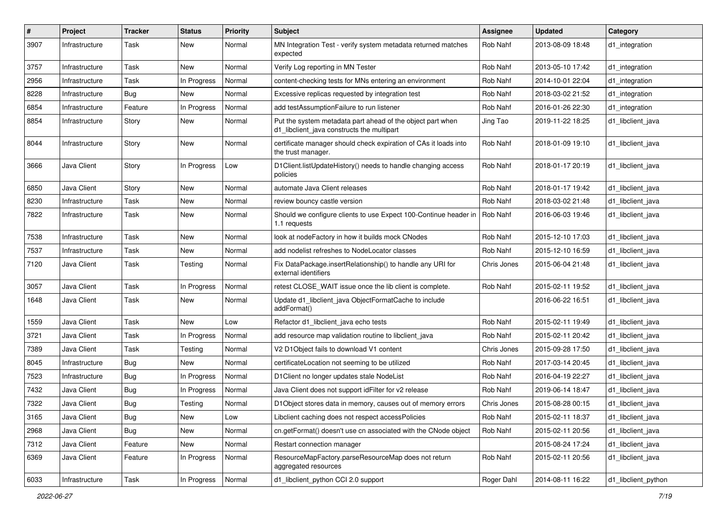| $\#$ | Project        | <b>Tracker</b> | <b>Status</b> | <b>Priority</b> | <b>Subject</b>                                                                                           | <b>Assignee</b> | <b>Updated</b>   | Category            |
|------|----------------|----------------|---------------|-----------------|----------------------------------------------------------------------------------------------------------|-----------------|------------------|---------------------|
| 3907 | Infrastructure | Task           | New           | Normal          | MN Integration Test - verify system metadata returned matches<br>expected                                | Rob Nahf        | 2013-08-09 18:48 | d1_integration      |
| 3757 | Infrastructure | Task           | New           | Normal          | Verify Log reporting in MN Tester                                                                        | Rob Nahf        | 2013-05-10 17:42 | d1 integration      |
| 2956 | Infrastructure | Task           | In Progress   | Normal          | content-checking tests for MNs entering an environment                                                   | Rob Nahf        | 2014-10-01 22:04 | d1_integration      |
| 8228 | Infrastructure | Bug            | <b>New</b>    | Normal          | Excessive replicas requested by integration test                                                         | Rob Nahf        | 2018-03-02 21:52 | d1_integration      |
| 6854 | Infrastructure | Feature        | In Progress   | Normal          | add testAssumptionFailure to run listener                                                                | Rob Nahf        | 2016-01-26 22:30 | d1_integration      |
| 8854 | Infrastructure | Story          | New           | Normal          | Put the system metadata part ahead of the object part when<br>d1_libclient_java constructs the multipart | Jing Tao        | 2019-11-22 18:25 | d1 libclient java   |
| 8044 | Infrastructure | Story          | New           | Normal          | certificate manager should check expiration of CAs it loads into<br>the trust manager.                   | Rob Nahf        | 2018-01-09 19:10 | d1 libclient java   |
| 3666 | Java Client    | Story          | In Progress   | Low             | D1Client.listUpdateHistory() needs to handle changing access<br>policies                                 | Rob Nahf        | 2018-01-17 20:19 | d1 libclient java   |
| 6850 | Java Client    | Story          | New           | Normal          | automate Java Client releases                                                                            | Rob Nahf        | 2018-01-17 19:42 | d1_libclient_java   |
| 8230 | Infrastructure | Task           | New           | Normal          | review bouncy castle version                                                                             | Rob Nahf        | 2018-03-02 21:48 | d1 libclient java   |
| 7822 | Infrastructure | Task           | New           | Normal          | Should we configure clients to use Expect 100-Continue header in   Rob Nahf<br>1.1 requests              |                 | 2016-06-03 19:46 | d1 libclient java   |
| 7538 | Infrastructure | Task           | New           | Normal          | look at nodeFactory in how it builds mock CNodes                                                         | Rob Nahf        | 2015-12-10 17:03 | d1 libclient java   |
| 7537 | Infrastructure | Task           | <b>New</b>    | Normal          | add nodelist refreshes to NodeLocator classes                                                            | Rob Nahf        | 2015-12-10 16:59 | d1 libclient java   |
| 7120 | Java Client    | Task           | Testing       | Normal          | Fix DataPackage.insertRelationship() to handle any URI for<br>external identifiers                       | Chris Jones     | 2015-06-04 21:48 | d1 libclient java   |
| 3057 | Java Client    | Task           | In Progress   | Normal          | retest CLOSE_WAIT issue once the lib client is complete.                                                 | Rob Nahf        | 2015-02-11 19:52 | d1_libclient_java   |
| 1648 | Java Client    | Task           | New           | Normal          | Update d1_libclient_java ObjectFormatCache to include<br>addFormat()                                     |                 | 2016-06-22 16:51 | d1 libclient java   |
| 1559 | Java Client    | Task           | <b>New</b>    | Low             | Refactor d1_libclient_java echo tests                                                                    | Rob Nahf        | 2015-02-11 19:49 | d1 libclient java   |
| 3721 | Java Client    | Task           | In Progress   | Normal          | add resource map validation routine to libclient_java                                                    | Rob Nahf        | 2015-02-11 20:42 | d1 libclient java   |
| 7389 | Java Client    | Task           | Testing       | Normal          | V2 D1Object fails to download V1 content                                                                 | Chris Jones     | 2015-09-28 17:50 | d1 libclient java   |
| 8045 | Infrastructure | Bug            | New           | Normal          | certificateLocation not seeming to be utilized                                                           | Rob Nahf        | 2017-03-14 20:45 | d1 libclient java   |
| 7523 | Infrastructure | <b>Bug</b>     | In Progress   | Normal          | D1Client no longer updates stale NodeList                                                                | Rob Nahf        | 2016-04-19 22:27 | d1 libclient java   |
| 7432 | Java Client    | Bug            | In Progress   | Normal          | Java Client does not support idFilter for v2 release                                                     | Rob Nahf        | 2019-06-14 18:47 | d1 libclient java   |
| 7322 | Java Client    | <b>Bug</b>     | Testing       | Normal          | D1Object stores data in memory, causes out of memory errors                                              | Chris Jones     | 2015-08-28 00:15 | d1 libclient java   |
| 3165 | Java Client    | Bug            | New           | Low             | Libclient caching does not respect accessPolicies                                                        | Rob Nahf        | 2015-02-11 18:37 | d1_libclient_java   |
| 2968 | Java Client    | <b>Bug</b>     | New           | Normal          | cn.getFormat() doesn't use cn associated with the CNode object                                           | Rob Nahf        | 2015-02-11 20:56 | d1_libclient_java   |
| 7312 | Java Client    | Feature        | New           | Normal          | Restart connection manager                                                                               |                 | 2015-08-24 17:24 | d1_libclient_java   |
| 6369 | Java Client    | Feature        | In Progress   | Normal          | ResourceMapFactory.parseResourceMap does not return<br>aggregated resources                              | Rob Nahf        | 2015-02-11 20:56 | d1_libclient_java   |
| 6033 | Infrastructure | Task           | In Progress   | Normal          | d1_libclient_python CCI 2.0 support                                                                      | Roger Dahl      | 2014-08-11 16:22 | d1_libclient_python |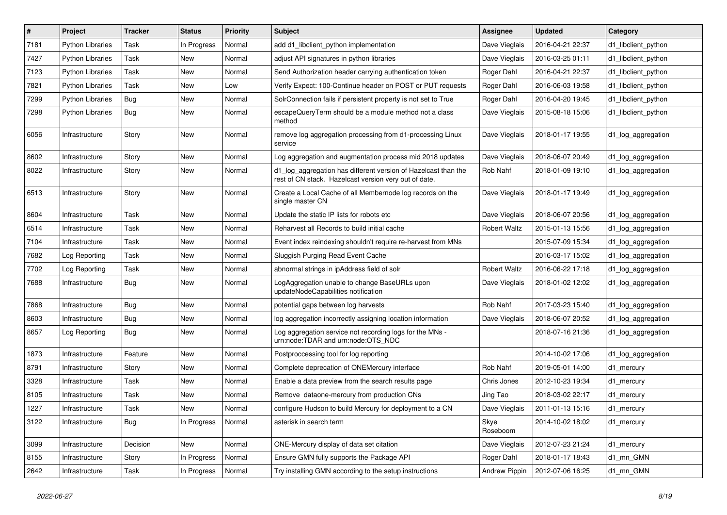| $\pmb{\#}$ | Project                 | <b>Tracker</b> | <b>Status</b> | <b>Priority</b> | Subject                                                                                                                 | Assignee            | <b>Updated</b>   | Category            |
|------------|-------------------------|----------------|---------------|-----------------|-------------------------------------------------------------------------------------------------------------------------|---------------------|------------------|---------------------|
| 7181       | <b>Python Libraries</b> | Task           | In Progress   | Normal          | add d1 libclient python implementation                                                                                  | Dave Vieglais       | 2016-04-21 22:37 | d1 libclient python |
| 7427       | <b>Python Libraries</b> | Task           | New           | Normal          | adjust API signatures in python libraries                                                                               | Dave Vieglais       | 2016-03-25 01:11 | d1 libclient python |
| 7123       | <b>Python Libraries</b> | Task           | New           | Normal          | Send Authorization header carrying authentication token                                                                 | Roger Dahl          | 2016-04-21 22:37 | d1 libclient python |
| 7821       | <b>Python Libraries</b> | Task           | New           | Low             | Verify Expect: 100-Continue header on POST or PUT requests                                                              | Roger Dahl          | 2016-06-03 19:58 | d1 libclient python |
| 7299       | Python Libraries        | Bug            | New           | Normal          | SolrConnection fails if persistent property is not set to True                                                          | Roger Dahl          | 2016-04-20 19:45 | d1 libclient python |
| 7298       | <b>Python Libraries</b> | Bug            | New           | Normal          | escapeQueryTerm should be a module method not a class<br>method                                                         | Dave Vieglais       | 2015-08-18 15:06 | d1 libclient python |
| 6056       | Infrastructure          | Story          | New           | Normal          | remove log aggregation processing from d1-processing Linux<br>service                                                   | Dave Vieglais       | 2018-01-17 19:55 | d1_log_aggregation  |
| 8602       | Infrastructure          | Story          | New           | Normal          | Log aggregation and augmentation process mid 2018 updates                                                               | Dave Vieglais       | 2018-06-07 20:49 | d1_log_aggregation  |
| 8022       | Infrastructure          | Story          | New           | Normal          | d1_log_aggregation has different version of Hazelcast than the<br>rest of CN stack. Hazelcast version very out of date. | Rob Nahf            | 2018-01-09 19:10 | d1_log_aggregation  |
| 6513       | Infrastructure          | Story          | <b>New</b>    | Normal          | Create a Local Cache of all Membernode log records on the<br>single master CN                                           | Dave Vieglais       | 2018-01-17 19:49 | d1_log_aggregation  |
| 8604       | Infrastructure          | Task           | New           | Normal          | Update the static IP lists for robots etc                                                                               | Dave Vieglais       | 2018-06-07 20:56 | d1_log_aggregation  |
| 6514       | Infrastructure          | Task           | New           | Normal          | Reharvest all Records to build initial cache                                                                            | <b>Robert Waltz</b> | 2015-01-13 15:56 | d1_log_aggregation  |
| 7104       | Infrastructure          | Task           | New           | Normal          | Event index reindexing shouldn't require re-harvest from MNs                                                            |                     | 2015-07-09 15:34 | d1 log aggregation  |
| 7682       | Log Reporting           | Task           | New           | Normal          | Sluggish Purging Read Event Cache                                                                                       |                     | 2016-03-17 15:02 | d1_log_aggregation  |
| 7702       | Log Reporting           | Task           | New           | Normal          | abnormal strings in ipAddress field of solr                                                                             | <b>Robert Waltz</b> | 2016-06-22 17:18 | d1_log_aggregation  |
| 7688       | Infrastructure          | Bug            | New           | Normal          | LogAggregation unable to change BaseURLs upon<br>updateNodeCapabilities notification                                    | Dave Vieglais       | 2018-01-02 12:02 | d1_log_aggregation  |
| 7868       | Infrastructure          | Bug            | New           | Normal          | potential gaps between log harvests                                                                                     | Rob Nahf            | 2017-03-23 15:40 | d1_log_aggregation  |
| 8603       | Infrastructure          | Bug            | New           | Normal          | log aggregation incorrectly assigning location information                                                              | Dave Vieglais       | 2018-06-07 20:52 | d1_log_aggregation  |
| 8657       | Log Reporting           | Bug            | New           | Normal          | Log aggregation service not recording logs for the MNs -<br>urn:node:TDAR and urn:node:OTS_NDC                          |                     | 2018-07-16 21:36 | d1_log_aggregation  |
| 1873       | Infrastructure          | Feature        | New           | Normal          | Postproccessing tool for log reporting                                                                                  |                     | 2014-10-02 17:06 | d1_log_aggregation  |
| 8791       | Infrastructure          | Story          | New           | Normal          | Complete deprecation of ONEMercury interface                                                                            | Rob Nahf            | 2019-05-01 14:00 | d1 mercury          |
| 3328       | Infrastructure          | Task           | New           | Normal          | Enable a data preview from the search results page                                                                      | Chris Jones         | 2012-10-23 19:34 | d1_mercury          |
| 8105       | Infrastructure          | Task           | <b>New</b>    | Normal          | Remove dataone-mercury from production CNs                                                                              | Jing Tao            | 2018-03-02 22:17 | d1_mercury          |
| 1227       | Infrastructure          | Task           | New           | Normal          | configure Hudson to build Mercury for deployment to a CN                                                                | Dave Vieglais       | 2011-01-13 15:16 | d1_mercury          |
| 3122       | Infrastructure          | Bug            | In Progress   | Normal          | asterisk in search term                                                                                                 | Skye<br>Roseboom    | 2014-10-02 18:02 | d1_mercury          |
| 3099       | Infrastructure          | Decision       | New           | Normal          | ONE-Mercury display of data set citation                                                                                | Dave Vieglais       | 2012-07-23 21:24 | d1_mercury          |
| 8155       | Infrastructure          | Story          | In Progress   | Normal          | Ensure GMN fully supports the Package API                                                                               | Roger Dahl          | 2018-01-17 18:43 | d1_mn_GMN           |
| 2642       | Infrastructure          | Task           | In Progress   | Normal          | Try installing GMN according to the setup instructions                                                                  | Andrew Pippin       | 2012-07-06 16:25 | d1_mn_GMN           |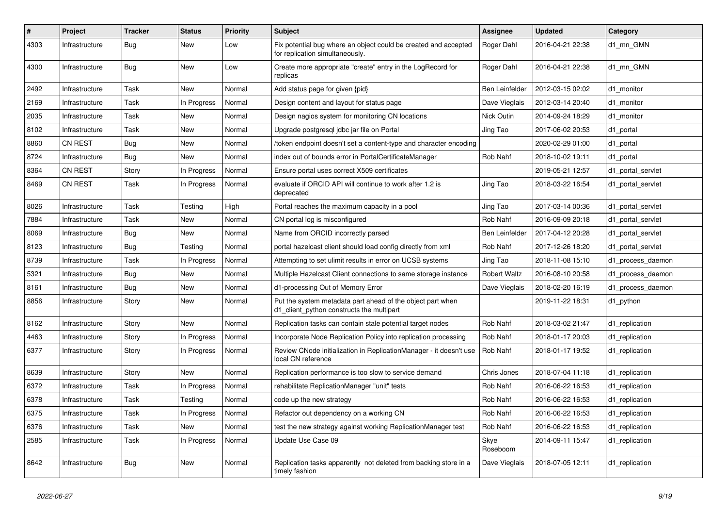| #    | Project        | <b>Tracker</b> | <b>Status</b> | <b>Priority</b> | <b>Subject</b>                                                                                          | <b>Assignee</b>     | <b>Updated</b>   | Category          |
|------|----------------|----------------|---------------|-----------------|---------------------------------------------------------------------------------------------------------|---------------------|------------------|-------------------|
| 4303 | Infrastructure | Bug            | New           | Low             | Fix potential bug where an object could be created and accepted<br>for replication simultaneously.      | Roger Dahl          | 2016-04-21 22:38 | d1 mn GMN         |
| 4300 | Infrastructure | Bug            | New           | Low             | Create more appropriate "create" entry in the LogRecord for<br>replicas                                 | Roger Dahl          | 2016-04-21 22:38 | d1 mn GMN         |
| 2492 | Infrastructure | Task           | <b>New</b>    | Normal          | Add status page for given {pid}                                                                         | Ben Leinfelder      | 2012-03-15 02:02 | d1 monitor        |
| 2169 | Infrastructure | Task           | In Progress   | Normal          | Design content and layout for status page                                                               | Dave Vieglais       | 2012-03-14 20:40 | d1 monitor        |
| 2035 | Infrastructure | Task           | New           | Normal          | Design nagios system for monitoring CN locations                                                        | Nick Outin          | 2014-09-24 18:29 | d1_monitor        |
| 8102 | Infrastructure | Task           | New           | Normal          | Upgrade postgresql jdbc jar file on Portal                                                              | Jing Tao            | 2017-06-02 20:53 | d1_portal         |
| 8860 | <b>CN REST</b> | <b>Bug</b>     | New           | Normal          | /token endpoint doesn't set a content-type and character encoding                                       |                     | 2020-02-29 01:00 | d1 portal         |
| 8724 | Infrastructure | Bug            | New           | Normal          | index out of bounds error in PortalCertificateManager                                                   | Rob Nahf            | 2018-10-02 19:11 | d1 portal         |
| 8364 | <b>CN REST</b> | Story          | In Progress   | Normal          | Ensure portal uses correct X509 certificates                                                            |                     | 2019-05-21 12:57 | d1 portal servlet |
| 8469 | <b>CN REST</b> | Task           | In Progress   | Normal          | evaluate if ORCID API will continue to work after 1.2 is<br>deprecated                                  | Jing Tao            | 2018-03-22 16:54 | d1 portal servlet |
| 8026 | Infrastructure | Task           | Testing       | High            | Portal reaches the maximum capacity in a pool                                                           | Jing Tao            | 2017-03-14 00:36 | d1_portal_servlet |
| 7884 | Infrastructure | Task           | New           | Normal          | CN portal log is misconfigured                                                                          | Rob Nahf            | 2016-09-09 20:18 | d1_portal_servlet |
| 8069 | Infrastructure | Bug            | New           | Normal          | Name from ORCID incorrectly parsed                                                                      | Ben Leinfelder      | 2017-04-12 20:28 | d1_portal_servlet |
| 8123 | Infrastructure | Bug            | Testing       | Normal          | portal hazelcast client should load config directly from xml                                            | Rob Nahf            | 2017-12-26 18:20 | d1_portal_servlet |
| 8739 | Infrastructure | Task           | In Progress   | Normal          | Attempting to set ulimit results in error on UCSB systems                                               | Jing Tao            | 2018-11-08 15:10 | d1_process_daemon |
| 5321 | Infrastructure | <b>Bug</b>     | New           | Normal          | Multiple Hazelcast Client connections to same storage instance                                          | <b>Robert Waltz</b> | 2016-08-10 20:58 | d1 process daemon |
| 8161 | Infrastructure | Bug            | New           | Normal          | d1-processing Out of Memory Error                                                                       | Dave Vieglais       | 2018-02-20 16:19 | d1_process_daemon |
| 8856 | Infrastructure | Story          | New           | Normal          | Put the system metadata part ahead of the object part when<br>d1_client_python constructs the multipart |                     | 2019-11-22 18:31 | d1_python         |
| 8162 | Infrastructure | Story          | New           | Normal          | Replication tasks can contain stale potential target nodes                                              | Rob Nahf            | 2018-03-02 21:47 | d1 replication    |
| 4463 | Infrastructure | Story          | In Progress   | Normal          | Incorporate Node Replication Policy into replication processing                                         | Rob Nahf            | 2018-01-17 20:03 | d1_replication    |
| 6377 | Infrastructure | Story          | In Progress   | Normal          | Review CNode initialization in ReplicationManager - it doesn't use<br>local CN reference                | Rob Nahf            | 2018-01-17 19:52 | d1 replication    |
| 8639 | Infrastructure | Story          | New           | Normal          | Replication performance is too slow to service demand                                                   | Chris Jones         | 2018-07-04 11:18 | d1_replication    |
| 6372 | Infrastructure | Task           | In Progress   | Normal          | rehabilitate ReplicationManager "unit" tests                                                            | Rob Nahf            | 2016-06-22 16:53 | d1_replication    |
| 6378 | Infrastructure | Task           | Testing       | Normal          | code up the new strategy                                                                                | Rob Nahf            | 2016-06-22 16:53 | d1_replication    |
| 6375 | Infrastructure | Task           | In Progress   | Normal          | Refactor out dependency on a working CN                                                                 | Rob Nahf            | 2016-06-22 16:53 | d1_replication    |
| 6376 | Infrastructure | Task           | New           | Normal          | test the new strategy against working ReplicationManager test                                           | Rob Nahf            | 2016-06-22 16:53 | d1 replication    |
| 2585 | Infrastructure | Task           | In Progress   | Normal          | Update Use Case 09                                                                                      | Skye<br>Roseboom    | 2014-09-11 15:47 | d1_replication    |
| 8642 | Infrastructure | <b>Bug</b>     | New           | Normal          | Replication tasks apparently not deleted from backing store in a<br>timely fashion                      | Dave Vieglais       | 2018-07-05 12:11 | d1_replication    |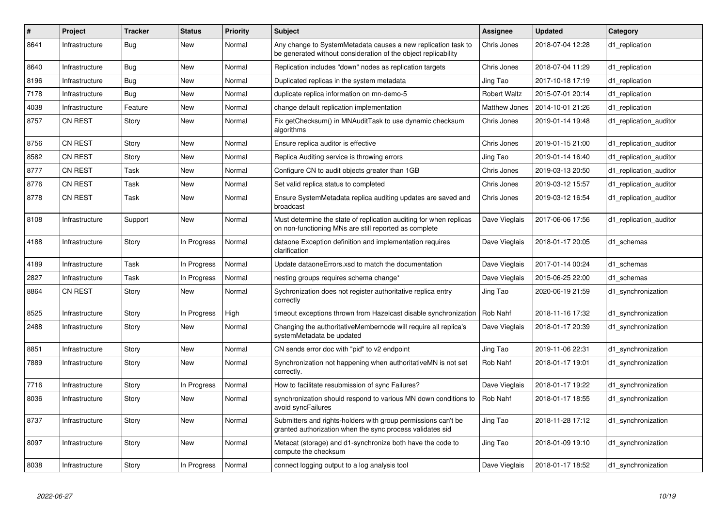| $\#$ | Project        | <b>Tracker</b> | <b>Status</b> | <b>Priority</b> | <b>Subject</b>                                                                                                                  | Assignee            | <b>Updated</b>   | Category               |
|------|----------------|----------------|---------------|-----------------|---------------------------------------------------------------------------------------------------------------------------------|---------------------|------------------|------------------------|
| 8641 | Infrastructure | <b>Bug</b>     | New           | Normal          | Any change to SystemMetadata causes a new replication task to<br>be generated without consideration of the object replicability | Chris Jones         | 2018-07-04 12:28 | d1 replication         |
| 8640 | Infrastructure | <b>Bug</b>     | New           | Normal          | Replication includes "down" nodes as replication targets                                                                        | Chris Jones         | 2018-07-04 11:29 | d1 replication         |
| 8196 | Infrastructure | Bug            | New           | Normal          | Duplicated replicas in the system metadata                                                                                      | Jing Tao            | 2017-10-18 17:19 | d1 replication         |
| 7178 | Infrastructure | Bug            | New           | Normal          | duplicate replica information on mn-demo-5                                                                                      | <b>Robert Waltz</b> | 2015-07-01 20:14 | d1 replication         |
| 4038 | Infrastructure | Feature        | <b>New</b>    | Normal          | change default replication implementation                                                                                       | Matthew Jones       | 2014-10-01 21:26 | d1 replication         |
| 8757 | <b>CN REST</b> | Story          | New           | Normal          | Fix getChecksum() in MNAuditTask to use dynamic checksum<br>algorithms                                                          | Chris Jones         | 2019-01-14 19:48 | d1 replication auditor |
| 8756 | <b>CN REST</b> | Story          | New           | Normal          | Ensure replica auditor is effective                                                                                             | Chris Jones         | 2019-01-15 21:00 | d1 replication auditor |
| 8582 | <b>CN REST</b> | Story          | New           | Normal          | Replica Auditing service is throwing errors                                                                                     | Jing Tao            | 2019-01-14 16:40 | d1 replication auditor |
| 8777 | <b>CN REST</b> | Task           | New           | Normal          | Configure CN to audit objects greater than 1GB                                                                                  | Chris Jones         | 2019-03-13 20:50 | d1 replication auditor |
| 8776 | <b>CN REST</b> | Task           | New           | Normal          | Set valid replica status to completed                                                                                           | Chris Jones         | 2019-03-12 15:57 | d1 replication auditor |
| 8778 | <b>CN REST</b> | Task           | New           | Normal          | Ensure SystemMetadata replica auditing updates are saved and<br>broadcast                                                       | Chris Jones         | 2019-03-12 16:54 | d1 replication auditor |
| 8108 | Infrastructure | Support        | <b>New</b>    | Normal          | Must determine the state of replication auditing for when replicas<br>on non-functioning MNs are still reported as complete     | Dave Vieglais       | 2017-06-06 17:56 | d1_replication_auditor |
| 4188 | Infrastructure | Story          | In Progress   | Normal          | dataone Exception definition and implementation requires<br>clarification                                                       | Dave Vieglais       | 2018-01-17 20:05 | d1 schemas             |
| 4189 | Infrastructure | Task           | In Progress   | Normal          | Update dataoneErrors.xsd to match the documentation                                                                             | Dave Vieglais       | 2017-01-14 00:24 | d1 schemas             |
| 2827 | Infrastructure | Task           | In Progress   | Normal          | nesting groups requires schema change*                                                                                          | Dave Vieglais       | 2015-06-25 22:00 | d1 schemas             |
| 8864 | <b>CN REST</b> | Story          | New           | Normal          | Sychronization does not register authoritative replica entry<br>correctly                                                       | Jing Tao            | 2020-06-19 21:59 | d1 synchronization     |
| 8525 | Infrastructure | Story          | In Progress   | High            | timeout exceptions thrown from Hazelcast disable synchronization                                                                | Rob Nahf            | 2018-11-16 17:32 | d1 synchronization     |
| 2488 | Infrastructure | Story          | New           | Normal          | Changing the authoritativeMembernode will require all replica's<br>systemMetadata be updated                                    | Dave Vieglais       | 2018-01-17 20:39 | d1 synchronization     |
| 8851 | Infrastructure | Story          | New           | Normal          | CN sends error doc with "pid" to v2 endpoint                                                                                    | Jing Tao            | 2019-11-06 22:31 | d1_synchronization     |
| 7889 | Infrastructure | Story          | New           | Normal          | Synchronization not happening when authoritativeMN is not set<br>correctly.                                                     | Rob Nahf            | 2018-01-17 19:01 | d1 synchronization     |
| 7716 | Infrastructure | Story          | In Progress   | Normal          | How to facilitate resubmission of sync Failures?                                                                                | Dave Vieglais       | 2018-01-17 19:22 | d1 synchronization     |
| 8036 | Infrastructure | Story          | New           | Normal          | synchronization should respond to various MN down conditions to<br>avoid syncFailures                                           | Rob Nahf            | 2018-01-17 18:55 | d1 synchronization     |
| 8737 | Infrastructure | Story          | New           | Normal          | Submitters and rights-holders with group permissions can't be<br>granted authorization when the sync process validates sid      | Jing Tao            | 2018-11-28 17:12 | d1 synchronization     |
| 8097 | Infrastructure | Story          | <b>New</b>    | Normal          | Metacat (storage) and d1-synchronize both have the code to<br>compute the checksum                                              | Jing Tao            | 2018-01-09 19:10 | d1 synchronization     |
| 8038 | Infrastructure | Story          | In Progress   | Normal          | connect logging output to a log analysis tool                                                                                   | Dave Vieglais       | 2018-01-17 18:52 | d1 synchronization     |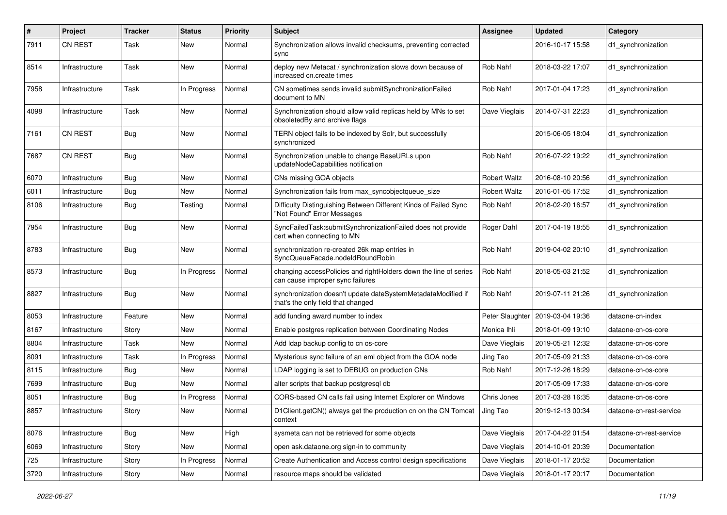| #    | Project        | <b>Tracker</b> | <b>Status</b> | <b>Priority</b> | Subject                                                                                              | Assignee            | <b>Updated</b>   | Category                |
|------|----------------|----------------|---------------|-----------------|------------------------------------------------------------------------------------------------------|---------------------|------------------|-------------------------|
| 7911 | <b>CN REST</b> | Task           | New           | Normal          | Synchronization allows invalid checksums, preventing corrected<br>sync                               |                     | 2016-10-17 15:58 | d1 synchronization      |
| 8514 | Infrastructure | Task           | New           | Normal          | deploy new Metacat / synchronization slows down because of<br>increased cn.create times              | Rob Nahf            | 2018-03-22 17:07 | d1_synchronization      |
| 7958 | Infrastructure | Task           | In Progress   | Normal          | CN sometimes sends invalid submitSynchronizationFailed<br>document to MN                             | Rob Nahf            | 2017-01-04 17:23 | d1_synchronization      |
| 4098 | Infrastructure | Task           | New           | Normal          | Synchronization should allow valid replicas held by MNs to set<br>obsoletedBy and archive flags      | Dave Vieglais       | 2014-07-31 22:23 | d1_synchronization      |
| 7161 | <b>CN REST</b> | Bug            | New           | Normal          | TERN object fails to be indexed by Solr, but successfully<br>synchronized                            |                     | 2015-06-05 18:04 | d1_synchronization      |
| 7687 | <b>CN REST</b> | Bug            | New           | Normal          | Synchronization unable to change BaseURLs upon<br>updateNodeCapabilities notification                | Rob Nahf            | 2016-07-22 19:22 | d1_synchronization      |
| 6070 | Infrastructure | <b>Bug</b>     | New           | Normal          | CNs missing GOA objects                                                                              | <b>Robert Waltz</b> | 2016-08-10 20:56 | d1 synchronization      |
| 6011 | Infrastructure | Bug            | New           | Normal          | Synchronization fails from max_syncobjectqueue_size                                                  | <b>Robert Waltz</b> | 2016-01-05 17:52 | d1 synchronization      |
| 8106 | Infrastructure | Bug            | Testing       | Normal          | Difficulty Distinguishing Between Different Kinds of Failed Sync<br>"Not Found" Error Messages       | Rob Nahf            | 2018-02-20 16:57 | d1_synchronization      |
| 7954 | Infrastructure | Bug            | New           | Normal          | SyncFailedTask:submitSynchronizationFailed does not provide<br>cert when connecting to MN            | Roger Dahl          | 2017-04-19 18:55 | d1_synchronization      |
| 8783 | Infrastructure | Bug            | New           | Normal          | synchronization re-created 26k map entries in<br>SyncQueueFacade.nodeIdRoundRobin                    | Rob Nahf            | 2019-04-02 20:10 | d1_synchronization      |
| 8573 | Infrastructure | Bug            | In Progress   | Normal          | changing accessPolicies and rightHolders down the line of series<br>can cause improper sync failures | Rob Nahf            | 2018-05-03 21:52 | d1 synchronization      |
| 8827 | Infrastructure | Bug            | New           | Normal          | synchronization doesn't update dateSystemMetadataModified if<br>that's the only field that changed   | Rob Nahf            | 2019-07-11 21:26 | d1_synchronization      |
| 8053 | Infrastructure | Feature        | New           | Normal          | add funding award number to index                                                                    | Peter Slaughter     | 2019-03-04 19:36 | dataone-cn-index        |
| 8167 | Infrastructure | Story          | New           | Normal          | Enable postgres replication between Coordinating Nodes                                               | Monica Ihli         | 2018-01-09 19:10 | dataone-cn-os-core      |
| 8804 | Infrastructure | Task           | <b>New</b>    | Normal          | Add Idap backup config to cn os-core                                                                 | Dave Vieglais       | 2019-05-21 12:32 | dataone-cn-os-core      |
| 8091 | Infrastructure | Task           | In Progress   | Normal          | Mysterious sync failure of an eml object from the GOA node                                           | Jing Tao            | 2017-05-09 21:33 | dataone-cn-os-core      |
| 8115 | Infrastructure | Bug            | New           | Normal          | LDAP logging is set to DEBUG on production CNs                                                       | Rob Nahf            | 2017-12-26 18:29 | dataone-cn-os-core      |
| 7699 | Infrastructure | Bug            | New           | Normal          | alter scripts that backup postgresgl db                                                              |                     | 2017-05-09 17:33 | dataone-cn-os-core      |
| 8051 | Infrastructure | <b>Bug</b>     | In Progress   | Normal          | CORS-based CN calls fail using Internet Explorer on Windows                                          | Chris Jones         | 2017-03-28 16:35 | dataone-cn-os-core      |
| 8857 | Infrastructure | Story          | New           | Normal          | D1Client.getCN() always get the production cn on the CN Tomcat<br>context                            | Jing Tao            | 2019-12-13 00:34 | dataone-cn-rest-service |
| 8076 | Infrastructure | Bug            | New           | High            | sysmeta can not be retrieved for some objects                                                        | Dave Vieglais       | 2017-04-22 01:54 | dataone-cn-rest-service |
| 6069 | Infrastructure | Story          | New           | Normal          | open ask.dataone.org sign-in to community                                                            | Dave Vieglais       | 2014-10-01 20:39 | Documentation           |
| 725  | Infrastructure | Story          | In Progress   | Normal          | Create Authentication and Access control design specifications                                       | Dave Vieglais       | 2018-01-17 20:52 | Documentation           |
| 3720 | Infrastructure | Story          | New           | Normal          | resource maps should be validated                                                                    | Dave Vieglais       | 2018-01-17 20:17 | Documentation           |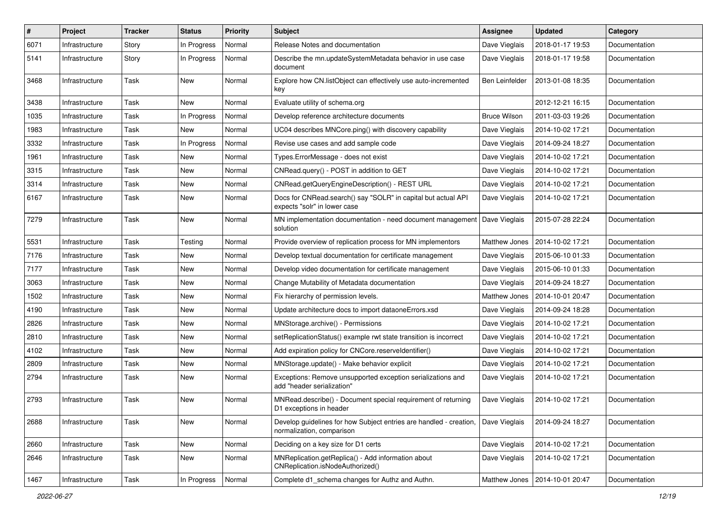| #    | Project        | <b>Tracker</b> | <b>Status</b> | <b>Priority</b> | Subject                                                                                         | Assignee            | <b>Updated</b>                 | Category      |
|------|----------------|----------------|---------------|-----------------|-------------------------------------------------------------------------------------------------|---------------------|--------------------------------|---------------|
| 6071 | Infrastructure | Story          | In Progress   | Normal          | Release Notes and documentation                                                                 | Dave Vieglais       | 2018-01-17 19:53               | Documentation |
| 5141 | Infrastructure | Story          | In Progress   | Normal          | Describe the mn.updateSystemMetadata behavior in use case<br>document                           | Dave Vieglais       | 2018-01-17 19:58               | Documentation |
| 3468 | Infrastructure | Task           | New           | Normal          | Explore how CN.listObject can effectively use auto-incremented<br>key                           | Ben Leinfelder      | 2013-01-08 18:35               | Documentation |
| 3438 | Infrastructure | Task           | New           | Normal          | Evaluate utility of schema.org                                                                  |                     | 2012-12-21 16:15               | Documentation |
| 1035 | Infrastructure | Task           | In Progress   | Normal          | Develop reference architecture documents                                                        | <b>Bruce Wilson</b> | 2011-03-03 19:26               | Documentation |
| 1983 | Infrastructure | Task           | New           | Normal          | UC04 describes MNCore.ping() with discovery capability                                          | Dave Vieglais       | 2014-10-02 17:21               | Documentation |
| 3332 | Infrastructure | Task           | In Progress   | Normal          | Revise use cases and add sample code                                                            | Dave Vieglais       | 2014-09-24 18:27               | Documentation |
| 1961 | Infrastructure | Task           | New           | Normal          | Types.ErrorMessage - does not exist                                                             | Dave Vieglais       | 2014-10-02 17:21               | Documentation |
| 3315 | Infrastructure | Task           | New           | Normal          | CNRead.query() - POST in addition to GET                                                        | Dave Vieglais       | 2014-10-02 17:21               | Documentation |
| 3314 | Infrastructure | Task           | New           | Normal          | CNRead.getQueryEngineDescription() - REST URL                                                   | Dave Vieglais       | 2014-10-02 17:21               | Documentation |
| 6167 | Infrastructure | Task           | New           | Normal          | Docs for CNRead.search() say "SOLR" in capital but actual API<br>expects "solr" in lower case   | Dave Vieglais       | 2014-10-02 17:21               | Documentation |
| 7279 | Infrastructure | Task           | New           | Normal          | MN implementation documentation - need document management<br>solution                          | Dave Vieglais       | 2015-07-28 22:24               | Documentation |
| 5531 | Infrastructure | Task           | Testing       | Normal          | Provide overview of replication process for MN implementors                                     | Matthew Jones       | 2014-10-02 17:21               | Documentation |
| 7176 | Infrastructure | Task           | New           | Normal          | Develop textual documentation for certificate management                                        | Dave Vieglais       | 2015-06-10 01:33               | Documentation |
| 7177 | Infrastructure | Task           | New           | Normal          | Develop video documentation for certificate management                                          | Dave Vieglais       | 2015-06-10 01:33               | Documentation |
| 3063 | Infrastructure | Task           | New           | Normal          | Change Mutability of Metadata documentation                                                     | Dave Vieglais       | 2014-09-24 18:27               | Documentation |
| 1502 | Infrastructure | Task           | New           | Normal          | Fix hierarchy of permission levels.                                                             | Matthew Jones       | 2014-10-01 20:47               | Documentation |
| 4190 | Infrastructure | Task           | New           | Normal          | Update architecture docs to import dataoneErrors.xsd                                            | Dave Vieglais       | 2014-09-24 18:28               | Documentation |
| 2826 | Infrastructure | Task           | New           | Normal          | MNStorage.archive() - Permissions                                                               | Dave Vieglais       | 2014-10-02 17:21               | Documentation |
| 2810 | Infrastructure | Task           | New           | Normal          | setReplicationStatus() example rwt state transition is incorrect                                | Dave Vieglais       | 2014-10-02 17:21               | Documentation |
| 4102 | Infrastructure | Task           | New           | Normal          | Add expiration policy for CNCore.reserveldentifier()                                            | Dave Vieglais       | 2014-10-02 17:21               | Documentation |
| 2809 | Infrastructure | Task           | New           | Normal          | MNStorage.update() - Make behavior explicit                                                     | Dave Vieglais       | 2014-10-02 17:21               | Documentation |
| 2794 | Infrastructure | Task           | New           | Normal          | Exceptions: Remove unsupported exception serializations and<br>add "header serialization"       | Dave Vieglais       | 2014-10-02 17:21               | Documentation |
| 2793 | Infrastructure | Task           | <b>New</b>    | Normal          | MNRead.describe() - Document special requirement of returning<br>D1 exceptions in header        | Dave Vieglais       | 2014-10-02 17:21               | Documentation |
| 2688 | Infrastructure | Task           | New           | Normal          | Develop guidelines for how Subject entries are handled - creation,<br>normalization, comparison | Dave Vieglais       | 2014-09-24 18:27               | Documentation |
| 2660 | Infrastructure | Task           | New           | Normal          | Deciding on a key size for D1 certs                                                             | Dave Vieglais       | 2014-10-02 17:21               | Documentation |
| 2646 | Infrastructure | Task           | New           | Normal          | MNReplication.getReplica() - Add information about<br>CNReplication.isNodeAuthorized()          | Dave Vieglais       | 2014-10-02 17:21               | Documentation |
| 1467 | Infrastructure | Task           | In Progress   | Normal          | Complete d1_schema changes for Authz and Authn.                                                 |                     | Matthew Jones 2014-10-01 20:47 | Documentation |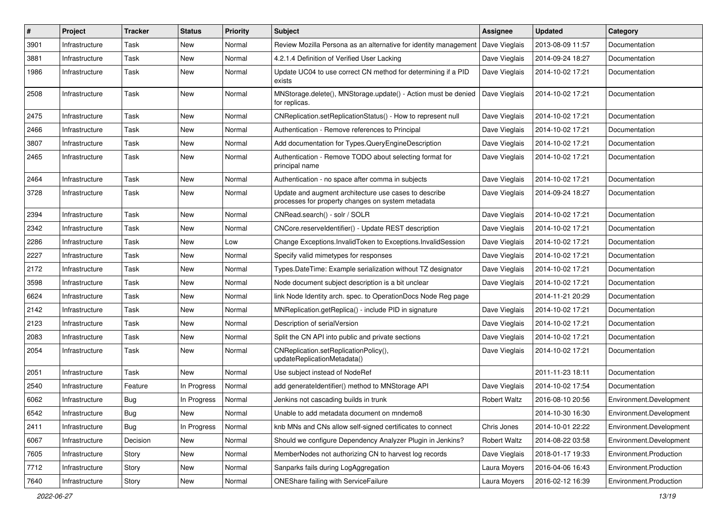| ∦    | Project        | Tracker    | <b>Status</b> | <b>Priority</b> | <b>Subject</b>                                                                                             | Assignee            | <b>Updated</b>   | Category                |
|------|----------------|------------|---------------|-----------------|------------------------------------------------------------------------------------------------------------|---------------------|------------------|-------------------------|
| 3901 | Infrastructure | Task       | New           | Normal          | Review Mozilla Persona as an alternative for identity management                                           | Dave Vieglais       | 2013-08-09 11:57 | Documentation           |
| 3881 | Infrastructure | Task       | New           | Normal          | 4.2.1.4 Definition of Verified User Lacking                                                                | Dave Vieglais       | 2014-09-24 18:27 | Documentation           |
| 1986 | Infrastructure | Task       | New           | Normal          | Update UC04 to use correct CN method for determining if a PID<br>exists                                    | Dave Vieglais       | 2014-10-02 17:21 | Documentation           |
| 2508 | Infrastructure | Task       | New           | Normal          | MNStorage.delete(), MNStorage.update() - Action must be denied<br>for replicas.                            | Dave Vieglais       | 2014-10-02 17:21 | Documentation           |
| 2475 | Infrastructure | Task       | New           | Normal          | CNReplication.setReplicationStatus() - How to represent null                                               | Dave Vieglais       | 2014-10-02 17:21 | Documentation           |
| 2466 | Infrastructure | Task       | New           | Normal          | Authentication - Remove references to Principal                                                            | Dave Vieglais       | 2014-10-02 17:21 | Documentation           |
| 3807 | Infrastructure | Task       | New           | Normal          | Add documentation for Types.QueryEngineDescription                                                         | Dave Vieglais       | 2014-10-02 17:21 | Documentation           |
| 2465 | Infrastructure | Task       | New           | Normal          | Authentication - Remove TODO about selecting format for<br>principal name                                  | Dave Vieglais       | 2014-10-02 17:21 | Documentation           |
| 2464 | Infrastructure | Task       | New           | Normal          | Authentication - no space after comma in subjects                                                          | Dave Vieglais       | 2014-10-02 17:21 | Documentation           |
| 3728 | Infrastructure | Task       | New           | Normal          | Update and augment architecture use cases to describe<br>processes for property changes on system metadata | Dave Vieglais       | 2014-09-24 18:27 | Documentation           |
| 2394 | Infrastructure | Task       | New           | Normal          | CNRead.search() - solr / SOLR                                                                              | Dave Vieglais       | 2014-10-02 17:21 | Documentation           |
| 2342 | Infrastructure | Task       | New           | Normal          | CNCore.reserveldentifier() - Update REST description                                                       | Dave Vieglais       | 2014-10-02 17:21 | Documentation           |
| 2286 | Infrastructure | Task       | New           | Low             | Change Exceptions. Invalid Token to Exceptions. Invalid Session                                            | Dave Vieglais       | 2014-10-02 17:21 | Documentation           |
| 2227 | Infrastructure | Task       | New           | Normal          | Specify valid mimetypes for responses                                                                      | Dave Vieglais       | 2014-10-02 17:21 | Documentation           |
| 2172 | Infrastructure | Task       | New           | Normal          | Types.DateTime: Example serialization without TZ designator                                                | Dave Vieglais       | 2014-10-02 17:21 | Documentation           |
| 3598 | Infrastructure | Task       | New           | Normal          | Node document subject description is a bit unclear                                                         | Dave Vieglais       | 2014-10-02 17:21 | Documentation           |
| 6624 | Infrastructure | Task       | New           | Normal          | link Node Identity arch. spec. to OperationDocs Node Reg page                                              |                     | 2014-11-21 20:29 | Documentation           |
| 2142 | Infrastructure | Task       | New           | Normal          | MNReplication.getReplica() - include PID in signature                                                      | Dave Vieglais       | 2014-10-02 17:21 | Documentation           |
| 2123 | Infrastructure | Task       | New           | Normal          | Description of serialVersion                                                                               | Dave Vieglais       | 2014-10-02 17:21 | Documentation           |
| 2083 | Infrastructure | Task       | New           | Normal          | Split the CN API into public and private sections                                                          | Dave Vieglais       | 2014-10-02 17:21 | Documentation           |
| 2054 | Infrastructure | Task       | New           | Normal          | CNReplication.setReplicationPolicy(),<br>updateReplicationMetadata()                                       | Dave Vieglais       | 2014-10-02 17:21 | Documentation           |
| 2051 | Infrastructure | Task       | New           | Normal          | Use subject instead of NodeRef                                                                             |                     | 2011-11-23 18:11 | Documentation           |
| 2540 | Infrastructure | Feature    | In Progress   | Normal          | add generateIdentifier() method to MNStorage API                                                           | Dave Vieglais       | 2014-10-02 17:54 | Documentation           |
| 6062 | Infrastructure | <b>Bug</b> | In Progress   | Normal          | Jenkins not cascading builds in trunk                                                                      | <b>Robert Waltz</b> | 2016-08-10 20:56 | Environment.Development |
| 6542 | Infrastructure | Bug        | New           | Normal          | Unable to add metadata document on mndemo8                                                                 |                     | 2014-10-30 16:30 | Environment.Development |
| 2411 | Infrastructure | <b>Bug</b> | In Progress   | Normal          | knb MNs and CNs allow self-signed certificates to connect                                                  | Chris Jones         | 2014-10-01 22:22 | Environment.Development |
| 6067 | Infrastructure | Decision   | New           | Normal          | Should we configure Dependency Analyzer Plugin in Jenkins?                                                 | <b>Robert Waltz</b> | 2014-08-22 03:58 | Environment.Development |
| 7605 | Infrastructure | Story      | New           | Normal          | MemberNodes not authorizing CN to harvest log records                                                      | Dave Vieglais       | 2018-01-17 19:33 | Environment.Production  |
| 7712 | Infrastructure | Story      | New           | Normal          | Sanparks fails during LogAggregation                                                                       | Laura Moyers        | 2016-04-06 16:43 | Environment.Production  |
| 7640 | Infrastructure | Story      | New           | Normal          | <b>ONEShare failing with ServiceFailure</b>                                                                | Laura Moyers        | 2016-02-12 16:39 | Environment.Production  |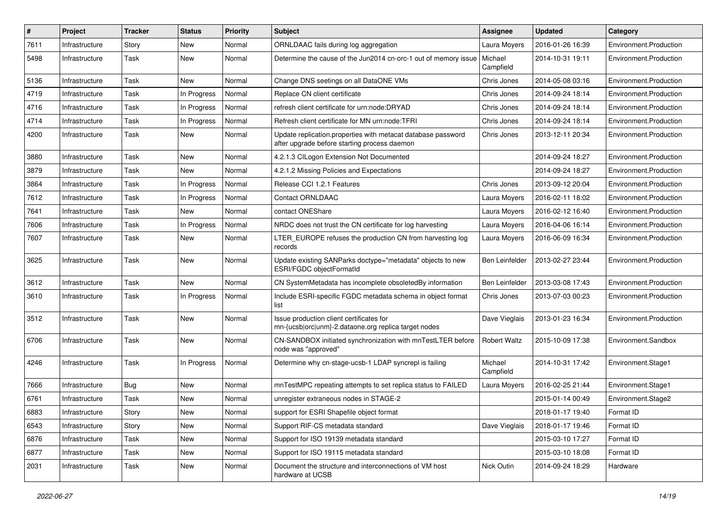| ∦    | Project        | <b>Tracker</b> | <b>Status</b> | <b>Priority</b> | Subject                                                                                                      | <b>Assignee</b>      | <b>Updated</b>   | Category               |
|------|----------------|----------------|---------------|-----------------|--------------------------------------------------------------------------------------------------------------|----------------------|------------------|------------------------|
| 7611 | Infrastructure | Story          | New           | Normal          | ORNLDAAC fails during log aggregation                                                                        | Laura Moyers         | 2016-01-26 16:39 | Environment.Production |
| 5498 | Infrastructure | Task           | New           | Normal          | Determine the cause of the Jun2014 cn-orc-1 out of memory issue                                              | Michael<br>Campfield | 2014-10-31 19:11 | Environment.Production |
| 5136 | Infrastructure | Task           | New           | Normal          | Change DNS seetings on all DataONE VMs                                                                       | Chris Jones          | 2014-05-08 03:16 | Environment.Production |
| 4719 | Infrastructure | Task           | In Progress   | Normal          | Replace CN client certificate                                                                                | Chris Jones          | 2014-09-24 18:14 | Environment.Production |
| 4716 | Infrastructure | Task           | In Progress   | Normal          | refresh client certificate for urn:node:DRYAD                                                                | Chris Jones          | 2014-09-24 18:14 | Environment.Production |
| 4714 | Infrastructure | Task           | In Progress   | Normal          | Refresh client certificate for MN urn:node:TFRI                                                              | Chris Jones          | 2014-09-24 18:14 | Environment.Production |
| 4200 | Infrastructure | Task           | New           | Normal          | Update replication.properties with metacat database password<br>after upgrade before starting process daemon | Chris Jones          | 2013-12-11 20:34 | Environment.Production |
| 3880 | Infrastructure | Task           | New           | Normal          | 4.2.1.3 CILogon Extension Not Documented                                                                     |                      | 2014-09-24 18:27 | Environment.Production |
| 3879 | Infrastructure | Task           | New           | Normal          | 4.2.1.2 Missing Policies and Expectations                                                                    |                      | 2014-09-24 18:27 | Environment.Production |
| 3864 | Infrastructure | Task           | In Progress   | Normal          | Release CCI 1.2.1 Features                                                                                   | Chris Jones          | 2013-09-12 20:04 | Environment.Production |
| 7612 | Infrastructure | Task           | In Progress   | Normal          | <b>Contact ORNLDAAC</b>                                                                                      | Laura Moyers         | 2016-02-11 18:02 | Environment.Production |
| 7641 | Infrastructure | Task           | New           | Normal          | contact ONEShare                                                                                             | Laura Moyers         | 2016-02-12 16:40 | Environment.Production |
| 7606 | Infrastructure | Task           | In Progress   | Normal          | NRDC does not trust the CN certificate for log harvesting                                                    | Laura Moyers         | 2016-04-06 16:14 | Environment.Production |
| 7607 | Infrastructure | Task           | New           | Normal          | LTER EUROPE refuses the production CN from harvesting log<br>records                                         | Laura Moyers         | 2016-06-09 16:34 | Environment.Production |
| 3625 | Infrastructure | Task           | New           | Normal          | Update existing SANParks doctype="metadata" objects to new<br>ESRI/FGDC objectFormatId                       | Ben Leinfelder       | 2013-02-27 23:44 | Environment.Production |
| 3612 | Infrastructure | Task           | New           | Normal          | CN SystemMetadata has incomplete obsoletedBy information                                                     | Ben Leinfelder       | 2013-03-08 17:43 | Environment.Production |
| 3610 | Infrastructure | Task           | In Progress   | Normal          | Include ESRI-specific FGDC metadata schema in object format<br>list                                          | Chris Jones          | 2013-07-03 00:23 | Environment.Production |
| 3512 | Infrastructure | Task           | New           | Normal          | Issue production client certificates for<br>mn-{ucsb orc unm}-2.dataone.org replica target nodes             | Dave Vieglais        | 2013-01-23 16:34 | Environment.Production |
| 6706 | Infrastructure | Task           | <b>New</b>    | Normal          | CN-SANDBOX initiated synchronization with mnTestLTER before<br>node was "approved"                           | Robert Waltz         | 2015-10-09 17:38 | Environment.Sandbox    |
| 4246 | Infrastructure | Task           | In Progress   | Normal          | Determine why cn-stage-ucsb-1 LDAP syncrepl is failing                                                       | Michael<br>Campfield | 2014-10-31 17:42 | Environment.Stage1     |
| 7666 | Infrastructure | Bug            | New           | Normal          | mnTestMPC repeating attempts to set replica status to FAILED                                                 | Laura Moyers         | 2016-02-25 21:44 | Environment.Stage1     |
| 6761 | Infrastructure | Task           | New           | Normal          | unregister extraneous nodes in STAGE-2                                                                       |                      | 2015-01-14 00:49 | Environment.Stage2     |
| 6883 | Infrastructure | Story          | New           | Normal          | support for ESRI Shapefile object format                                                                     |                      | 2018-01-17 19:40 | Format ID              |
| 6543 | Infrastructure | Story          | New           | Normal          | Support RIF-CS metadata standard                                                                             | Dave Vieglais        | 2018-01-17 19:46 | Format ID              |
| 6876 | Infrastructure | Task           | New           | Normal          | Support for ISO 19139 metadata standard                                                                      |                      | 2015-03-10 17:27 | Format ID              |
| 6877 | Infrastructure | Task           | New           | Normal          | Support for ISO 19115 metadata standard                                                                      |                      | 2015-03-10 18:08 | Format ID              |
| 2031 | Infrastructure | Task           | New           | Normal          | Document the structure and interconnections of VM host<br>hardware at UCSB                                   | Nick Outin           | 2014-09-24 18:29 | Hardware               |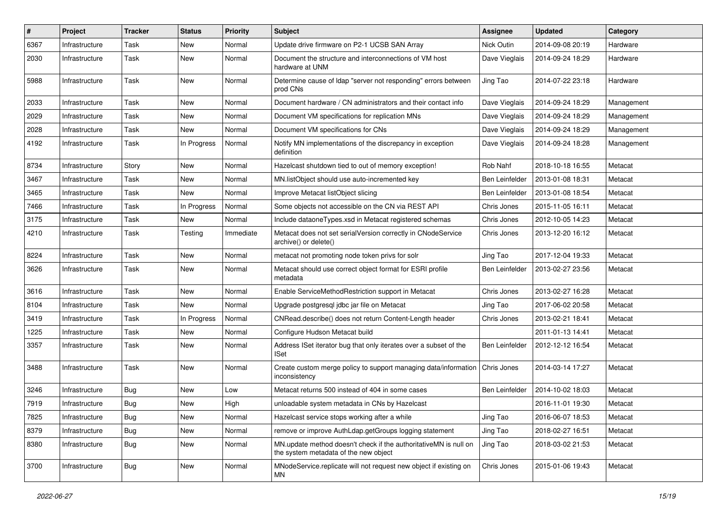| #    | Project        | Tracker    | <b>Status</b> | <b>Priority</b> | Subject                                                                                                   | <b>Assignee</b> | <b>Updated</b>   | Category   |
|------|----------------|------------|---------------|-----------------|-----------------------------------------------------------------------------------------------------------|-----------------|------------------|------------|
| 6367 | Infrastructure | Task       | New           | Normal          | Update drive firmware on P2-1 UCSB SAN Array                                                              | Nick Outin      | 2014-09-08 20:19 | Hardware   |
| 2030 | Infrastructure | Task       | New           | Normal          | Document the structure and interconnections of VM host<br>hardware at UNM                                 | Dave Vieglais   | 2014-09-24 18:29 | Hardware   |
| 5988 | Infrastructure | Task       | New           | Normal          | Determine cause of Idap "server not responding" errors between<br>prod CNs                                | Jing Tao        | 2014-07-22 23:18 | Hardware   |
| 2033 | Infrastructure | Task       | New           | Normal          | Document hardware / CN administrators and their contact info                                              | Dave Vieglais   | 2014-09-24 18:29 | Management |
| 2029 | Infrastructure | Task       | New           | Normal          | Document VM specifications for replication MNs                                                            | Dave Vieglais   | 2014-09-24 18:29 | Management |
| 2028 | Infrastructure | Task       | <b>New</b>    | Normal          | Document VM specifications for CNs                                                                        | Dave Vieglais   | 2014-09-24 18:29 | Management |
| 4192 | Infrastructure | Task       | In Progress   | Normal          | Notify MN implementations of the discrepancy in exception<br>definition                                   | Dave Vieglais   | 2014-09-24 18:28 | Management |
| 8734 | Infrastructure | Story      | New           | Normal          | Hazelcast shutdown tied to out of memory exception!                                                       | Rob Nahf        | 2018-10-18 16:55 | Metacat    |
| 3467 | Infrastructure | Task       | New           | Normal          | MN.listObject should use auto-incremented key                                                             | Ben Leinfelder  | 2013-01-08 18:31 | Metacat    |
| 3465 | Infrastructure | Task       | <b>New</b>    | Normal          | Improve Metacat listObject slicing                                                                        | Ben Leinfelder  | 2013-01-08 18:54 | Metacat    |
| 7466 | Infrastructure | Task       | In Progress   | Normal          | Some objects not accessible on the CN via REST API                                                        | Chris Jones     | 2015-11-05 16:11 | Metacat    |
| 3175 | Infrastructure | Task       | <b>New</b>    | Normal          | Include dataoneTypes.xsd in Metacat registered schemas                                                    | Chris Jones     | 2012-10-05 14:23 | Metacat    |
| 4210 | Infrastructure | Task       | Testing       | Immediate       | Metacat does not set serialVersion correctly in CNodeService<br>archive() or delete()                     | Chris Jones     | 2013-12-20 16:12 | Metacat    |
| 8224 | Infrastructure | Task       | <b>New</b>    | Normal          | metacat not promoting node token privs for solr                                                           | Jing Tao        | 2017-12-04 19:33 | Metacat    |
| 3626 | Infrastructure | Task       | New           | Normal          | Metacat should use correct object format for ESRI profile<br>metadata                                     | Ben Leinfelder  | 2013-02-27 23:56 | Metacat    |
| 3616 | Infrastructure | Task       | <b>New</b>    | Normal          | Enable ServiceMethodRestriction support in Metacat                                                        | Chris Jones     | 2013-02-27 16:28 | Metacat    |
| 8104 | Infrastructure | Task       | New           | Normal          | Upgrade postgresql jdbc jar file on Metacat                                                               | Jing Tao        | 2017-06-02 20:58 | Metacat    |
| 3419 | Infrastructure | Task       | In Progress   | Normal          | CNRead.describe() does not return Content-Length header                                                   | Chris Jones     | 2013-02-21 18:41 | Metacat    |
| 1225 | Infrastructure | Task       | New           | Normal          | Configure Hudson Metacat build                                                                            |                 | 2011-01-13 14:41 | Metacat    |
| 3357 | Infrastructure | Task       | New           | Normal          | Address ISet iterator bug that only iterates over a subset of the<br><b>ISet</b>                          | Ben Leinfelder  | 2012-12-12 16:54 | Metacat    |
| 3488 | Infrastructure | Task       | New           | Normal          | Create custom merge policy to support managing data/information<br>inconsistency                          | Chris Jones     | 2014-03-14 17:27 | Metacat    |
| 3246 | Infrastructure | Bug        | <b>New</b>    | Low             | Metacat returns 500 instead of 404 in some cases                                                          | Ben Leinfelder  | 2014-10-02 18:03 | Metacat    |
| 7919 | Infrastructure | Bug        | New           | High            | unloadable system metadata in CNs by Hazelcast                                                            |                 | 2016-11-01 19:30 | Metacat    |
| 7825 | Infrastructure | <b>Bug</b> | New           | Normal          | Hazelcast service stops working after a while                                                             | Jing Tao        | 2016-06-07 18:53 | Metacat    |
| 8379 | Infrastructure | <b>Bug</b> | New           | Normal          | remove or improve AuthLdap.getGroups logging statement                                                    | Jing Tao        | 2018-02-27 16:51 | Metacat    |
| 8380 | Infrastructure | <b>Bug</b> | New           | Normal          | MN update method doesn't check if the authoritativeMN is null on<br>the system metadata of the new object | Jing Tao        | 2018-03-02 21:53 | Metacat    |
| 3700 | Infrastructure | <b>Bug</b> | New           | Normal          | MNodeService.replicate will not request new object if existing on<br>MN                                   | Chris Jones     | 2015-01-06 19:43 | Metacat    |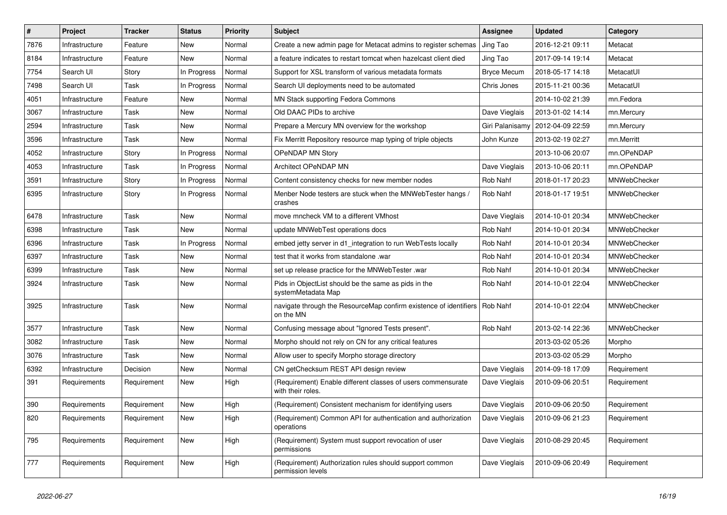| $\#$ | Project        | <b>Tracker</b> | <b>Status</b> | <b>Priority</b> | Subject                                                                                   | <b>Assignee</b>    | <b>Updated</b>   | Category            |
|------|----------------|----------------|---------------|-----------------|-------------------------------------------------------------------------------------------|--------------------|------------------|---------------------|
| 7876 | Infrastructure | Feature        | New           | Normal          | Create a new admin page for Metacat admins to register schemas                            | Jing Tao           | 2016-12-21 09:11 | Metacat             |
| 8184 | Infrastructure | Feature        | <b>New</b>    | Normal          | a feature indicates to restart tomcat when hazelcast client died                          | Jing Tao           | 2017-09-14 19:14 | Metacat             |
| 7754 | Search UI      | Story          | In Progress   | Normal          | Support for XSL transform of various metadata formats                                     | <b>Bryce Mecum</b> | 2018-05-17 14:18 | MetacatUI           |
| 7498 | Search UI      | Task           | In Progress   | Normal          | Search UI deployments need to be automated                                                | Chris Jones        | 2015-11-21 00:36 | MetacatUI           |
| 4051 | Infrastructure | Feature        | New           | Normal          | MN Stack supporting Fedora Commons                                                        |                    | 2014-10-02 21:39 | mn.Fedora           |
| 3067 | Infrastructure | Task           | New           | Normal          | Old DAAC PIDs to archive                                                                  | Dave Vieglais      | 2013-01-02 14:14 | mn.Mercury          |
| 2594 | Infrastructure | Task           | New           | Normal          | Prepare a Mercury MN overview for the workshop                                            | Giri Palanisamy    | 2012-04-09 22:59 | mn.Mercury          |
| 3596 | Infrastructure | Task           | New           | Normal          | Fix Merritt Repository resource map typing of triple objects                              | John Kunze         | 2013-02-19 02:27 | mn.Merritt          |
| 4052 | Infrastructure | Story          | In Progress   | Normal          | OPeNDAP MN Story                                                                          |                    | 2013-10-06 20:07 | mn.OPeNDAP          |
| 4053 | Infrastructure | Task           | In Progress   | Normal          | Architect OPeNDAP MN                                                                      | Dave Vieglais      | 2013-10-06 20:11 | mn.OPeNDAP          |
| 3591 | Infrastructure | Story          | In Progress   | Normal          | Content consistency checks for new member nodes                                           | Rob Nahf           | 2018-01-17 20:23 | MNWebChecker        |
| 6395 | Infrastructure | Story          | In Progress   | Normal          | Menber Node testers are stuck when the MNWebTester hangs /<br>crashes                     | Rob Nahf           | 2018-01-17 19:51 | MNWebChecker        |
| 6478 | Infrastructure | Task           | New           | Normal          | move mncheck VM to a different VMhost                                                     | Dave Vieglais      | 2014-10-01 20:34 | MNWebChecker        |
| 6398 | Infrastructure | Task           | <b>New</b>    | Normal          | update MNWebTest operations docs                                                          | Rob Nahf           | 2014-10-01 20:34 | MNWebChecker        |
| 6396 | Infrastructure | Task           | In Progress   | Normal          | embed jetty server in d1_integration to run WebTests locally                              | Rob Nahf           | 2014-10-01 20:34 | MNWebChecker        |
| 6397 | Infrastructure | Task           | New           | Normal          | test that it works from standalone .war                                                   | Rob Nahf           | 2014-10-01 20:34 | MNWebChecker        |
| 6399 | Infrastructure | Task           | New           | Normal          | set up release practice for the MNWebTester .war                                          | Rob Nahf           | 2014-10-01 20:34 | MNWebChecker        |
| 3924 | Infrastructure | Task           | New           | Normal          | Pids in ObjectList should be the same as pids in the<br>systemMetadata Map                | Rob Nahf           | 2014-10-01 22:04 | <b>MNWebChecker</b> |
| 3925 | Infrastructure | Task           | New           | Normal          | navigate through the ResourceMap confirm existence of identifiers   Rob Nahf<br>on the MN |                    | 2014-10-01 22:04 | MNWebChecker        |
| 3577 | Infrastructure | Task           | New           | Normal          | Confusing message about "Ignored Tests present".                                          | Rob Nahf           | 2013-02-14 22:36 | MNWebChecker        |
| 3082 | Infrastructure | Task           | New           | Normal          | Morpho should not rely on CN for any critical features                                    |                    | 2013-03-02 05:26 | Morpho              |
| 3076 | Infrastructure | Task           | New           | Normal          | Allow user to specify Morpho storage directory                                            |                    | 2013-03-02 05:29 | Morpho              |
| 6392 | Infrastructure | Decision       | New           | Normal          | CN getChecksum REST API design review                                                     | Dave Vieglais      | 2014-09-18 17:09 | Requirement         |
| 391  | Requirements   | Requirement    | New           | High            | (Requirement) Enable different classes of users commensurate<br>with their roles.         | Dave Vieglais      | 2010-09-06 20:51 | Requirement         |
| 390  | Requirements   | Requirement    | New           | High            | (Requirement) Consistent mechanism for identifying users                                  | Dave Vieglais      | 2010-09-06 20:50 | Requirement         |
| 820  | Requirements   | Requirement    | New           | High            | (Requirement) Common API for authentication and authorization<br>operations               | Dave Vieglais      | 2010-09-06 21:23 | Requirement         |
| 795  | Requirements   | Requirement    | New           | High            | (Requirement) System must support revocation of user<br>permissions                       | Dave Vieglais      | 2010-08-29 20:45 | Requirement         |
| 777  | Requirements   | Requirement    | New           | High            | (Requirement) Authorization rules should support common<br>permission levels              | Dave Vieglais      | 2010-09-06 20:49 | Requirement         |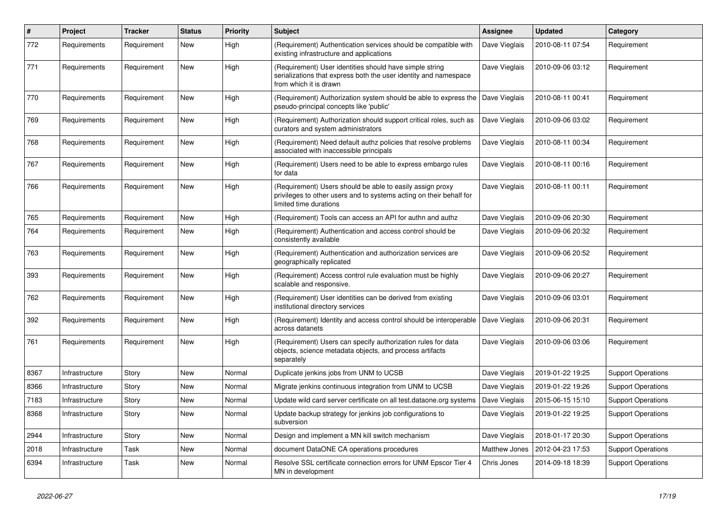| $\vert$ # | Project        | <b>Tracker</b> | <b>Status</b> | <b>Priority</b> | <b>Subject</b>                                                                                                                                             | Assignee      | <b>Updated</b>   | Category                  |
|-----------|----------------|----------------|---------------|-----------------|------------------------------------------------------------------------------------------------------------------------------------------------------------|---------------|------------------|---------------------------|
| 772       | Requirements   | Requirement    | New           | High            | (Requirement) Authentication services should be compatible with<br>existing infrastructure and applications                                                | Dave Vieglais | 2010-08-11 07:54 | Requirement               |
| 771       | Requirements   | Requirement    | New           | High            | (Requirement) User identities should have simple string<br>serializations that express both the user identity and namespace<br>from which it is drawn      | Dave Vieglais | 2010-09-06 03:12 | Requirement               |
| 770       | Requirements   | Requirement    | New           | High            | (Requirement) Authorization system should be able to express the<br>pseudo-principal concepts like 'public'                                                | Dave Vieglais | 2010-08-11 00:41 | Requirement               |
| 769       | Requirements   | Requirement    | <b>New</b>    | High            | (Requirement) Authorization should support critical roles, such as<br>curators and system administrators                                                   | Dave Vieglais | 2010-09-06 03:02 | Requirement               |
| 768       | Requirements   | Requirement    | New           | High            | (Requirement) Need default authz policies that resolve problems<br>associated with inaccessible principals                                                 | Dave Vieglais | 2010-08-11 00:34 | Requirement               |
| 767       | Requirements   | Requirement    | New           | High            | (Requirement) Users need to be able to express embargo rules<br>for data                                                                                   | Dave Vieglais | 2010-08-11 00:16 | Requirement               |
| 766       | Requirements   | Requirement    | New           | High            | (Requirement) Users should be able to easily assign proxy<br>privileges to other users and to systems acting on their behalf for<br>limited time durations | Dave Vieglais | 2010-08-11 00:11 | Requirement               |
| 765       | Requirements   | Requirement    | New           | High            | (Requirement) Tools can access an API for authn and authz                                                                                                  | Dave Vieglais | 2010-09-06 20:30 | Requirement               |
| 764       | Requirements   | Requirement    | New           | High            | (Requirement) Authentication and access control should be<br>consistently available                                                                        | Dave Vieglais | 2010-09-06 20:32 | Requirement               |
| 763       | Requirements   | Requirement    | <b>New</b>    | High            | (Requirement) Authentication and authorization services are<br>geographically replicated                                                                   | Dave Vieglais | 2010-09-06 20:52 | Requirement               |
| 393       | Requirements   | Requirement    | New           | High            | (Requirement) Access control rule evaluation must be highly<br>scalable and responsive.                                                                    | Dave Vieglais | 2010-09-06 20:27 | Requirement               |
| 762       | Requirements   | Requirement    | New           | High            | (Requirement) User identities can be derived from existing<br>institutional directory services                                                             | Dave Vieglais | 2010-09-06 03:01 | Requirement               |
| 392       | Requirements   | Requirement    | <b>New</b>    | High            | (Requirement) Identity and access control should be interoperable<br>across datanets                                                                       | Dave Vieglais | 2010-09-06 20:31 | Requirement               |
| 761       | Requirements   | Requirement    | New           | High            | (Requirement) Users can specify authorization rules for data<br>objects, science metadata objects, and process artifacts<br>separately                     | Dave Vieglais | 2010-09-06 03:06 | Requirement               |
| 8367      | Infrastructure | Story          | New           | Normal          | Duplicate jenkins jobs from UNM to UCSB                                                                                                                    | Dave Vieglais | 2019-01-22 19:25 | <b>Support Operations</b> |
| 8366      | Infrastructure | Story          | New           | Normal          | Migrate jenkins continuous integration from UNM to UCSB                                                                                                    | Dave Vieglais | 2019-01-22 19:26 | <b>Support Operations</b> |
| 7183      | Infrastructure | Story          | New           | Normal          | Update wild card server certificate on all test.dataone.org systems                                                                                        | Dave Vieglais | 2015-06-15 15:10 | <b>Support Operations</b> |
| 8368      | Infrastructure | Story          | New           | Normal          | Update backup strategy for jenkins job configurations to<br>subversion                                                                                     | Dave Vieglais | 2019-01-22 19:25 | <b>Support Operations</b> |
| 2944      | Infrastructure | Story          | New           | Normal          | Design and implement a MN kill switch mechanism                                                                                                            | Dave Vieglais | 2018-01-17 20:30 | <b>Support Operations</b> |
| 2018      | Infrastructure | Task           | New           | Normal          | document DataONE CA operations procedures                                                                                                                  | Matthew Jones | 2012-04-23 17:53 | <b>Support Operations</b> |
| 6394      | Infrastructure | Task           | New           | Normal          | Resolve SSL certificate connection errors for UNM Epscor Tier 4<br>MN in development                                                                       | Chris Jones   | 2014-09-18 18:39 | <b>Support Operations</b> |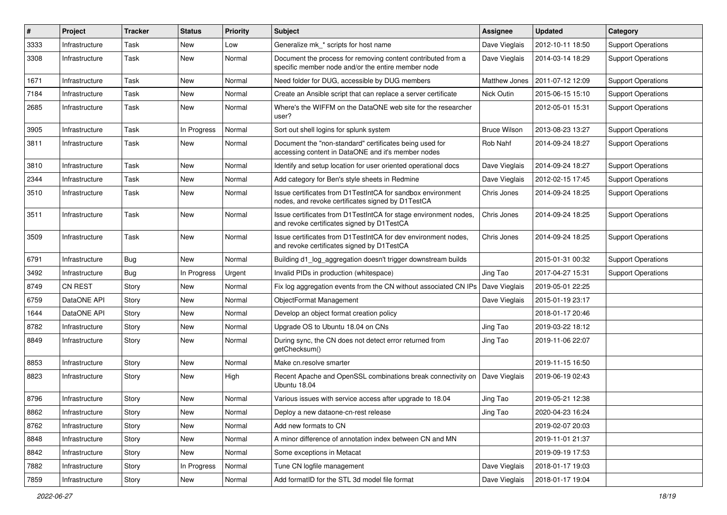| #    | Project        | <b>Tracker</b> | <b>Status</b> | <b>Priority</b> | <b>Subject</b>                                                                                                     | Assignee            | <b>Updated</b>   | Category                  |
|------|----------------|----------------|---------------|-----------------|--------------------------------------------------------------------------------------------------------------------|---------------------|------------------|---------------------------|
| 3333 | Infrastructure | Task           | New           | Low             | Generalize mk_* scripts for host name                                                                              | Dave Vieglais       | 2012-10-11 18:50 | <b>Support Operations</b> |
| 3308 | Infrastructure | Task           | New           | Normal          | Document the process for removing content contributed from a<br>specific member node and/or the entire member node | Dave Vieglais       | 2014-03-14 18:29 | <b>Support Operations</b> |
| 1671 | Infrastructure | Task           | New           | Normal          | Need folder for DUG, accessible by DUG members                                                                     | Matthew Jones       | 2011-07-12 12:09 | <b>Support Operations</b> |
| 7184 | Infrastructure | Task           | New           | Normal          | Create an Ansible script that can replace a server certificate                                                     | Nick Outin          | 2015-06-15 15:10 | <b>Support Operations</b> |
| 2685 | Infrastructure | Task           | New           | Normal          | Where's the WIFFM on the DataONE web site for the researcher<br>user?                                              |                     | 2012-05-01 15:31 | <b>Support Operations</b> |
| 3905 | Infrastructure | Task           | In Progress   | Normal          | Sort out shell logins for splunk system                                                                            | <b>Bruce Wilson</b> | 2013-08-23 13:27 | <b>Support Operations</b> |
| 3811 | Infrastructure | Task           | New           | Normal          | Document the "non-standard" certificates being used for<br>accessing content in DataONE and it's member nodes      | Rob Nahf            | 2014-09-24 18:27 | <b>Support Operations</b> |
| 3810 | Infrastructure | Task           | New           | Normal          | Identify and setup location for user oriented operational docs                                                     | Dave Vieglais       | 2014-09-24 18:27 | <b>Support Operations</b> |
| 2344 | Infrastructure | Task           | New           | Normal          | Add category for Ben's style sheets in Redmine                                                                     | Dave Vieglais       | 2012-02-15 17:45 | <b>Support Operations</b> |
| 3510 | Infrastructure | Task           | New           | Normal          | Issue certificates from D1TestIntCA for sandbox environment<br>nodes, and revoke certificates signed by D1TestCA   | Chris Jones         | 2014-09-24 18:25 | <b>Support Operations</b> |
| 3511 | Infrastructure | Task           | New           | Normal          | Issue certificates from D1TestIntCA for stage environment nodes,<br>and revoke certificates signed by D1TestCA     | Chris Jones         | 2014-09-24 18:25 | <b>Support Operations</b> |
| 3509 | Infrastructure | Task           | New           | Normal          | Issue certificates from D1TestIntCA for dev environment nodes,<br>and revoke certificates signed by D1TestCA       | Chris Jones         | 2014-09-24 18:25 | <b>Support Operations</b> |
| 6791 | Infrastructure | Bug            | New           | Normal          | Building d1_log_aggregation doesn't trigger downstream builds                                                      |                     | 2015-01-31 00:32 | <b>Support Operations</b> |
| 3492 | Infrastructure | <b>Bug</b>     | In Progress   | Urgent          | Invalid PIDs in production (whitespace)                                                                            | Jing Tao            | 2017-04-27 15:31 | <b>Support Operations</b> |
| 8749 | CN REST        | Story          | New           | Normal          | Fix log aggregation events from the CN without associated CN IPs                                                   | Dave Vieglais       | 2019-05-01 22:25 |                           |
| 6759 | DataONE API    | Story          | New           | Normal          | ObjectFormat Management                                                                                            | Dave Vieglais       | 2015-01-19 23:17 |                           |
| 1644 | DataONE API    | Story          | New           | Normal          | Develop an object format creation policy                                                                           |                     | 2018-01-17 20:46 |                           |
| 8782 | Infrastructure | Story          | New           | Normal          | Upgrade OS to Ubuntu 18.04 on CNs                                                                                  | Jing Tao            | 2019-03-22 18:12 |                           |
| 8849 | Infrastructure | Story          | New           | Normal          | During sync, the CN does not detect error returned from<br>getChecksum()                                           | Jing Tao            | 2019-11-06 22:07 |                           |
| 8853 | Infrastructure | Story          | New           | Normal          | Make cn.resolve smarter                                                                                            |                     | 2019-11-15 16:50 |                           |
| 8823 | Infrastructure | Story          | New           | High            | Recent Apache and OpenSSL combinations break connectivity on<br>Ubuntu 18.04                                       | Dave Vieglais       | 2019-06-19 02:43 |                           |
| 8796 | Infrastructure | Story          | New           | Normal          | Various issues with service access after upgrade to 18.04                                                          | Jing Tao            | 2019-05-21 12:38 |                           |
| 8862 | Infrastructure | Story          | New           | Normal          | Deploy a new dataone-cn-rest release                                                                               | Jing Tao            | 2020-04-23 16:24 |                           |
| 8762 | Infrastructure | Story          | New           | Normal          | Add new formats to CN                                                                                              |                     | 2019-02-07 20:03 |                           |
| 8848 | Infrastructure | Story          | New           | Normal          | A minor difference of annotation index between CN and MN                                                           |                     | 2019-11-01 21:37 |                           |
| 8842 | Infrastructure | Story          | New           | Normal          | Some exceptions in Metacat                                                                                         |                     | 2019-09-19 17:53 |                           |
| 7882 | Infrastructure | Story          | In Progress   | Normal          | Tune CN logfile management                                                                                         | Dave Vieglais       | 2018-01-17 19:03 |                           |
| 7859 | Infrastructure | Story          | New           | Normal          | Add formatID for the STL 3d model file format                                                                      | Dave Vieglais       | 2018-01-17 19:04 |                           |